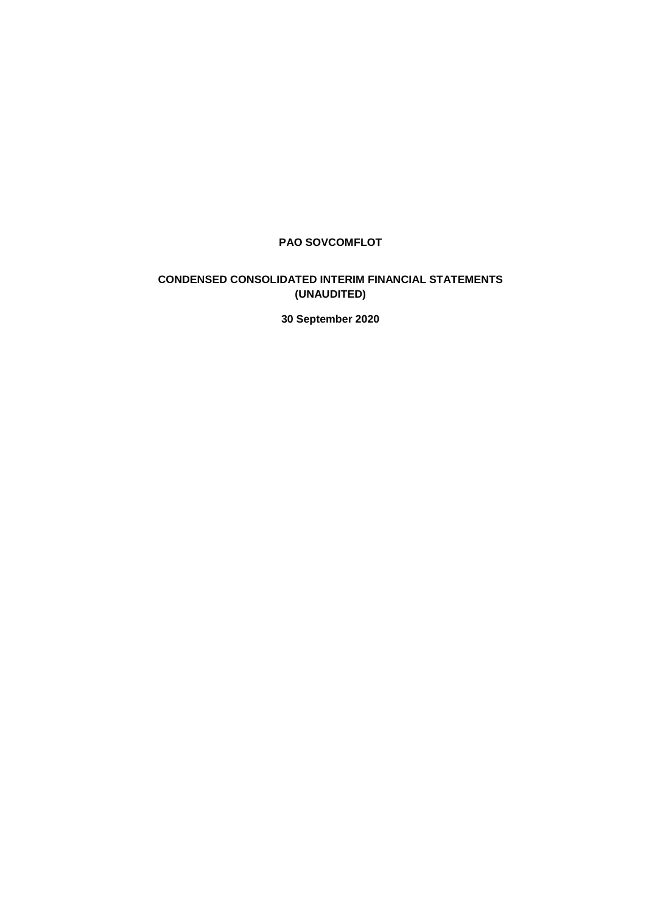# **PAO SOVCOMFLOT**

# **CONDENSED CONSOLIDATED INTERIM FINANCIAL STATEMENTS (UNAUDITED)**

**30 September 2020**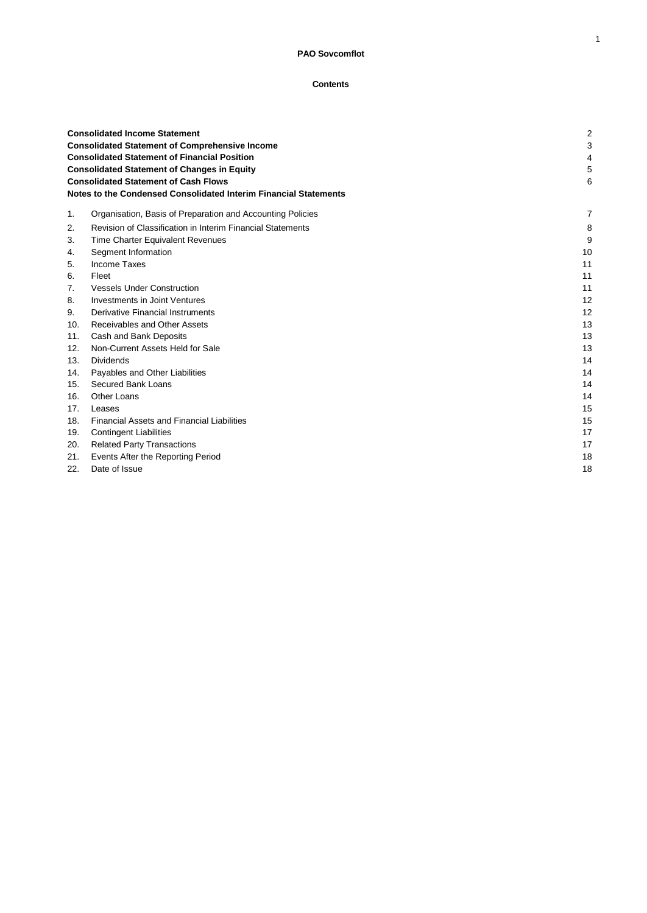## **Contents**

|     | <b>Consolidated Income Statement</b><br><b>Consolidated Statement of Comprehensive Income</b><br><b>Consolidated Statement of Financial Position</b><br><b>Consolidated Statement of Changes in Equity</b><br><b>Consolidated Statement of Cash Flows</b><br>Notes to the Condensed Consolidated Interim Financial Statements |    |  |
|-----|-------------------------------------------------------------------------------------------------------------------------------------------------------------------------------------------------------------------------------------------------------------------------------------------------------------------------------|----|--|
| 1.  | Organisation, Basis of Preparation and Accounting Policies                                                                                                                                                                                                                                                                    | 7  |  |
| 2.  | Revision of Classification in Interim Financial Statements                                                                                                                                                                                                                                                                    | 8  |  |
| 3.  | Time Charter Equivalent Revenues                                                                                                                                                                                                                                                                                              | g  |  |
| 4.  | Segment Information                                                                                                                                                                                                                                                                                                           | 10 |  |
| 5.  | <b>Income Taxes</b>                                                                                                                                                                                                                                                                                                           | 11 |  |
| 6.  | Fleet                                                                                                                                                                                                                                                                                                                         | 11 |  |
| 7.  | <b>Vessels Under Construction</b>                                                                                                                                                                                                                                                                                             | 11 |  |
| 8.  | Investments in Joint Ventures                                                                                                                                                                                                                                                                                                 | 12 |  |
| 9.  | Derivative Financial Instruments                                                                                                                                                                                                                                                                                              | 12 |  |
| 10. | Receivables and Other Assets                                                                                                                                                                                                                                                                                                  | 13 |  |
| 11. | Cash and Bank Deposits                                                                                                                                                                                                                                                                                                        | 13 |  |
| 12. | Non-Current Assets Held for Sale                                                                                                                                                                                                                                                                                              | 13 |  |
| 13. | <b>Dividends</b>                                                                                                                                                                                                                                                                                                              | 14 |  |
| 14. | Payables and Other Liabilities                                                                                                                                                                                                                                                                                                | 14 |  |
| 15. | Secured Bank Loans                                                                                                                                                                                                                                                                                                            | 14 |  |
| 16. | <b>Other Loans</b>                                                                                                                                                                                                                                                                                                            | 14 |  |
| 17. | Leases                                                                                                                                                                                                                                                                                                                        | 15 |  |
| 18. | <b>Financial Assets and Financial Liabilities</b>                                                                                                                                                                                                                                                                             | 15 |  |
| 19. | <b>Contingent Liabilities</b>                                                                                                                                                                                                                                                                                                 | 17 |  |
| 20. | <b>Related Party Transactions</b>                                                                                                                                                                                                                                                                                             | 17 |  |
| 21. | Events After the Reporting Period                                                                                                                                                                                                                                                                                             | 18 |  |
| 22. | Date of Issue                                                                                                                                                                                                                                                                                                                 | 18 |  |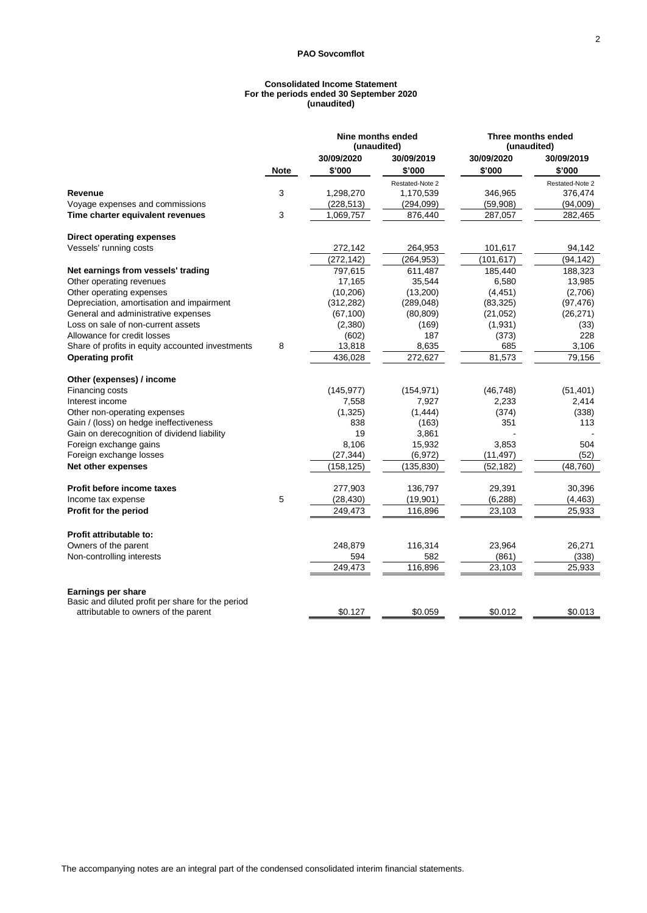#### **Consolidated Income Statement For the periods ended 30 September 2020 (unaudited)**

|                                                   |             | Nine months ended<br>(unaudited) |                 | Three months ended<br>(unaudited) |                 |
|---------------------------------------------------|-------------|----------------------------------|-----------------|-----------------------------------|-----------------|
|                                                   |             | 30/09/2020                       | 30/09/2019      | 30/09/2020                        | 30/09/2019      |
|                                                   | <b>Note</b> | \$'000                           | \$'000          | \$'000                            | \$'000          |
|                                                   |             |                                  | Restated-Note 2 |                                   | Restated-Note 2 |
| Revenue                                           | 3           | 1,298,270                        | 1,170,539       | 346,965                           | 376,474         |
| Voyage expenses and commissions                   |             | (228, 513)                       | (294,099)       | (59,908)                          | (94,009)        |
| Time charter equivalent revenues                  | 3           | 1,069,757                        | 876,440         | 287,057                           | 282,465         |
| <b>Direct operating expenses</b>                  |             |                                  |                 |                                   |                 |
| Vessels' running costs                            |             | 272,142                          | 264,953         | 101,617                           | 94,142          |
|                                                   |             | (272, 142)                       | (264, 953)      | (101, 617)                        | (94, 142)       |
| Net earnings from vessels' trading                |             | 797,615                          | 611,487         | 185,440                           | 188,323         |
| Other operating revenues                          |             | 17,165                           | 35,544          | 6,580                             | 13,985          |
| Other operating expenses                          |             | (10, 206)                        | (13,200)        | (4, 451)                          | (2,706)         |
| Depreciation, amortisation and impairment         |             | (312, 282)                       | (289, 048)      | (83, 325)                         | (97, 476)       |
| General and administrative expenses               |             | (67, 100)                        | (80, 809)       | (21, 052)                         | (26, 271)       |
| Loss on sale of non-current assets                |             | (2,380)                          | (169)           | (1,931)                           | (33)            |
| Allowance for credit losses                       |             | (602)                            | 187             | (373)                             | 228             |
| Share of profits in equity accounted investments  | 8           | 13,818                           | 8,635           | 685                               | 3,106           |
| <b>Operating profit</b>                           |             | 436,028                          | 272,627         | 81,573                            | 79,156          |
| Other (expenses) / income                         |             |                                  |                 |                                   |                 |
| Financing costs                                   |             | (145, 977)                       | (154, 971)      | (46, 748)                         | (51, 401)       |
| Interest income                                   |             | 7,558                            | 7,927           | 2,233                             | 2,414           |
| Other non-operating expenses                      |             | (1, 325)                         | (1, 444)        | (374)                             | (338)           |
| Gain / (loss) on hedge ineffectiveness            |             | 838                              | (163)           | 351                               | 113             |
| Gain on derecognition of dividend liability       |             | 19                               | 3,861           |                                   |                 |
| Foreign exchange gains                            |             | 8,106                            | 15,932          | 3,853                             | 504             |
| Foreign exchange losses                           |             | (27, 344)                        | (6,972)         | (11, 497)                         | (52)            |
| Net other expenses                                |             | (158, 125)                       | (135, 830)      | (52, 182)                         | (48, 760)       |
| Profit before income taxes                        |             | 277,903                          | 136,797         | 29,391                            | 30,396          |
| Income tax expense                                | 5           | (28, 430)                        | (19,901)        | (6, 288)                          | (4, 463)        |
| Profit for the period                             |             | 249,473                          | 116,896         | 23,103                            | 25,933          |
| Profit attributable to:                           |             |                                  |                 |                                   |                 |
| Owners of the parent                              |             | 248,879                          | 116,314         | 23,964                            | 26,271          |
| Non-controlling interests                         |             | 594                              | 582             | (861)                             | (338)           |
|                                                   |             | 249,473                          | 116,896         | 23,103                            | 25,933          |
| Earnings per share                                |             |                                  |                 |                                   |                 |
| Basic and diluted profit per share for the period |             |                                  |                 |                                   |                 |
| attributable to owners of the parent              |             | \$0.127                          | \$0.059         | \$0.012                           | \$0.013         |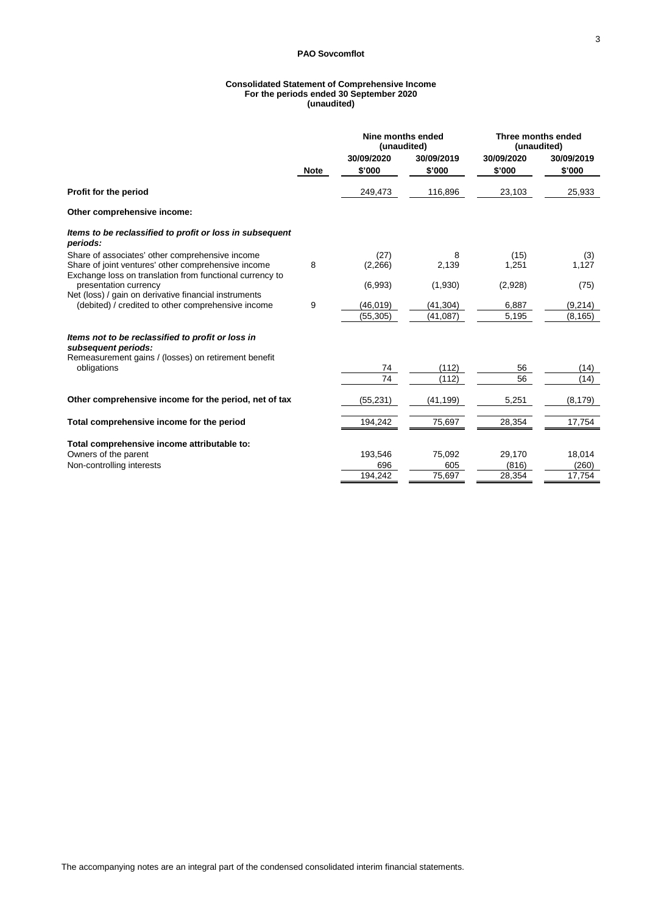#### **Consolidated Statement of Comprehensive Income For the periods ended 30 September 2020 (unaudited)**

|                                                                                                                                                                    |             | Nine months ended<br>(unaudited) |                        | Three months ended<br>(unaudited) |                      |
|--------------------------------------------------------------------------------------------------------------------------------------------------------------------|-------------|----------------------------------|------------------------|-----------------------------------|----------------------|
|                                                                                                                                                                    | <b>Note</b> | 30/09/2020<br>\$'000             | 30/09/2019<br>\$'000   | 30/09/2020<br>\$'000              | 30/09/2019<br>\$'000 |
| Profit for the period                                                                                                                                              |             | 249,473                          | 116,896                | 23,103                            | 25,933               |
| Other comprehensive income:                                                                                                                                        |             |                                  |                        |                                   |                      |
| Items to be reclassified to profit or loss in subsequent<br>periods:                                                                                               |             |                                  |                        |                                   |                      |
| Share of associates' other comprehensive income<br>Share of joint ventures' other comprehensive income<br>Exchange loss on translation from functional currency to | 8           | (27)<br>(2,266)                  | 8<br>2,139             | (15)<br>1,251                     | (3)<br>1,127         |
| presentation currency<br>Net (loss) / gain on derivative financial instruments                                                                                     |             | (6,993)                          | (1,930)                | (2,928)                           | (75)                 |
| (debited) / credited to other comprehensive income                                                                                                                 | 9           | (46, 019)<br>(55, 305)           | (41, 304)<br>(41, 087) | 6,887<br>5,195                    | (9, 214)<br>(8, 165) |
| Items not to be reclassified to profit or loss in<br>subsequent periods:                                                                                           |             |                                  |                        |                                   |                      |
| Remeasurement gains / (losses) on retirement benefit<br>obligations                                                                                                |             | 74                               | (112)                  | 56                                | (14)                 |
|                                                                                                                                                                    |             | 74                               | (112)                  | 56                                | (14)                 |
| Other comprehensive income for the period, net of tax                                                                                                              |             | (55,231)                         | (41,199)               | 5,251                             | (8, 179)             |
| Total comprehensive income for the period                                                                                                                          |             | 194,242                          | 75,697                 | 28,354                            | 17,754               |
| Total comprehensive income attributable to:                                                                                                                        |             |                                  |                        |                                   |                      |
| Owners of the parent                                                                                                                                               |             | 193,546                          | 75,092                 | 29,170                            | 18,014               |
| Non-controlling interests                                                                                                                                          |             | 696<br>194.242                   | 605<br>75,697          | (816)<br>28,354                   | (260)<br>17,754      |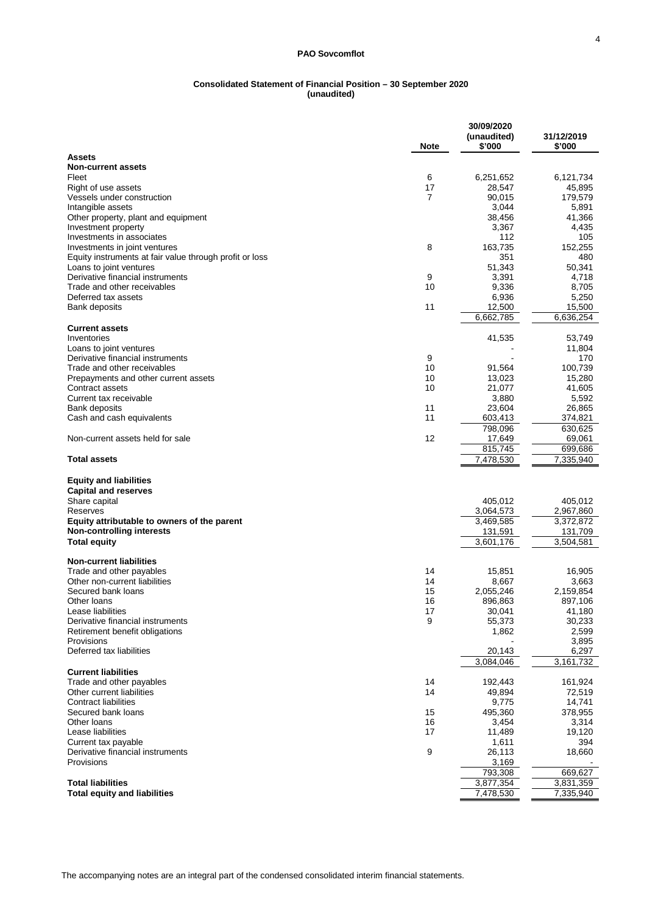#### **Consolidated Statement of Financial Position – 30 September 2020 (unaudited)**

|                                                                     | <b>Note</b> | 30/09/2020<br>(unaudited)<br>\$'000 | 31/12/2019<br>\$'000 |
|---------------------------------------------------------------------|-------------|-------------------------------------|----------------------|
| <b>Assets</b><br><b>Non-current assets</b>                          |             |                                     |                      |
| Fleet                                                               | 6           | 6,251,652                           | 6,121,734            |
| Right of use assets                                                 | 17          | 28,547                              | 45,895               |
| Vessels under construction                                          | 7           | 90,015                              | 179,579              |
| Intangible assets                                                   |             | 3,044                               | 5,891                |
| Other property, plant and equipment                                 |             | 38,456                              | 41,366               |
| Investment property<br>Investments in associates                    |             | 3,367<br>112                        | 4,435<br>105         |
| Investments in joint ventures                                       | 8           | 163,735                             | 152,255              |
| Equity instruments at fair value through profit or loss             |             | 351                                 | 480                  |
| Loans to joint ventures                                             |             | 51,343                              | 50,341               |
| Derivative financial instruments                                    | 9           | 3,391                               | 4,718                |
| Trade and other receivables                                         | 10          | 9,336                               | 8,705                |
| Deferred tax assets                                                 |             | 6,936                               | 5,250                |
| Bank deposits                                                       | 11          | 12,500<br>6,662,785                 | 15,500<br>6,636,254  |
| <b>Current assets</b>                                               |             |                                     |                      |
| Inventories                                                         |             | 41,535                              | 53,749               |
| Loans to joint ventures                                             |             |                                     | 11,804               |
| Derivative financial instruments                                    | 9           |                                     | 170                  |
| Trade and other receivables<br>Prepayments and other current assets | 10<br>10    | 91,564<br>13,023                    | 100,739<br>15,280    |
| Contract assets                                                     | 10          | 21,077                              | 41,605               |
| Current tax receivable                                              |             | 3,880                               | 5,592                |
| Bank deposits                                                       | 11          | 23,604                              | 26,865               |
| Cash and cash equivalents                                           | 11          | 603,413                             | 374,821              |
|                                                                     |             | 798,096                             | 630,625              |
| Non-current assets held for sale                                    | 12          | 17,649                              | 69,061               |
| <b>Total assets</b>                                                 |             | 815,745<br>7,478,530                | 699,686<br>7,335,940 |
| <b>Equity and liabilities</b>                                       |             |                                     |                      |
| <b>Capital and reserves</b>                                         |             |                                     |                      |
| Share capital                                                       |             | 405,012                             | 405,012              |
| Reserves                                                            |             | 3,064,573                           | 2,967,860            |
| Equity attributable to owners of the parent                         |             | 3,469,585                           | 3,372,872            |
| <b>Non-controlling interests</b><br><b>Total equity</b>             |             | 131,591<br>3,601,176                | 131,709<br>3,504,581 |
|                                                                     |             |                                     |                      |
| <b>Non-current liabilities</b>                                      |             |                                     |                      |
| Trade and other payables                                            | 14          | 15,851                              | 16,905               |
| Other non-current liabilities<br>Secured bank loans                 | 14          | 8,667                               | 3,663                |
| Other loans                                                         | 15<br>16    | 2,055,246<br>896,863                | 2,159,854<br>897,106 |
| Lease liabilities                                                   | 1/          | 30,041                              | 41,180               |
| Derivative financial instruments                                    | 9           | 55,373                              | 30,233               |
| Retirement benefit obligations                                      |             | 1,862                               | 2,599                |
| Provisions                                                          |             |                                     | 3,895                |
| Deferred tax liabilities                                            |             | 20,143                              | 6,297                |
| <b>Current liabilities</b>                                          |             | 3,084,046                           | 3,161,732            |
| Trade and other payables                                            | 14          | 192,443                             | 161,924              |
| Other current liabilities                                           | 14          | 49,894                              | 72,519               |
| <b>Contract liabilities</b>                                         |             | 9,775                               | 14,741               |
| Secured bank loans                                                  | 15          | 495,360                             | 378,955              |
| Other loans                                                         | 16          | 3,454                               | 3,314                |
| Lease liabilities<br>Current tax payable                            | 17          | 11,489<br>1,611                     | 19,120<br>394        |
| Derivative financial instruments                                    | 9           | 26,113                              | 18,660               |
| Provisions                                                          |             | 3,169                               |                      |
|                                                                     |             | 793,308                             | 669,627              |
| <b>Total liabilities</b>                                            |             | 3,877,354                           | 3,831,359            |
| <b>Total equity and liabilities</b>                                 |             | 7,478,530                           | 7,335,940            |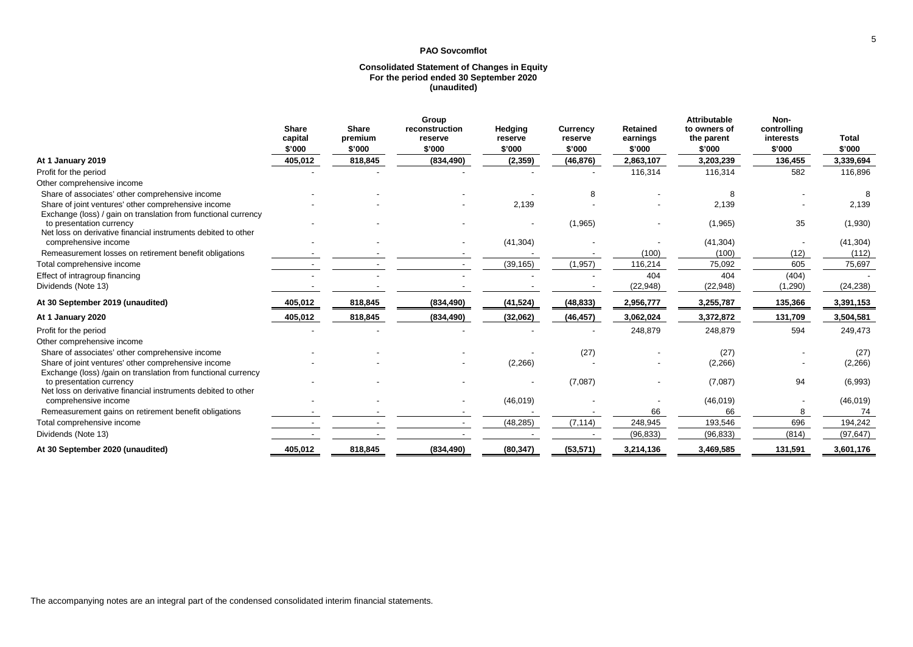#### **Consolidated Statement of Changes in Equity For the period ended 30 September 2020 (unaudited)**

|                                                                                                                       | <b>Share</b><br>capital | <b>Share</b><br>premium | Group<br>reconstruction<br>reserve | Hedging<br>reserve | <b>Currency</b><br>reserve | <b>Retained</b><br>earnings | <b>Attributable</b><br>to owners of<br>the parent | Non-<br>controlling<br>interests | <b>Total</b> |
|-----------------------------------------------------------------------------------------------------------------------|-------------------------|-------------------------|------------------------------------|--------------------|----------------------------|-----------------------------|---------------------------------------------------|----------------------------------|--------------|
|                                                                                                                       | \$'000                  | \$'000                  | \$'000                             | \$'000             | \$'000                     | \$'000                      | \$'000                                            | \$'000                           | \$'000       |
| At 1 January 2019                                                                                                     | 405,012                 | 818,845                 | (834, 490)                         | (2,359)            | (46, 876)                  | 2,863,107                   | 3,203,239                                         | 136,455                          | 3,339,694    |
| Profit for the period                                                                                                 |                         |                         |                                    |                    |                            | 116,314                     | 116,314                                           | 582                              | 116,896      |
| Other comprehensive income                                                                                            |                         |                         |                                    |                    |                            |                             |                                                   |                                  |              |
| Share of associates' other comprehensive income                                                                       |                         |                         |                                    |                    | 8                          |                             |                                                   |                                  |              |
| Share of joint ventures' other comprehensive income<br>Exchange (loss) / gain on translation from functional currency |                         |                         |                                    | 2,139              |                            |                             | 2,139                                             |                                  | 2,139        |
| to presentation currency<br>Net loss on derivative financial instruments debited to other                             |                         |                         |                                    |                    | (1,965)                    |                             | (1,965)                                           | 35                               | (1,930)      |
| comprehensive income                                                                                                  |                         |                         |                                    | (41, 304)          |                            |                             | (41, 304)                                         |                                  | (41, 304)    |
| Remeasurement losses on retirement benefit obligations                                                                |                         |                         |                                    |                    |                            | (100)                       | (100)                                             | (12)                             | (112)        |
| Total comprehensive income                                                                                            |                         |                         |                                    | (39, 165)          | (1, 957)                   | 116,214                     | 75,092                                            | 605                              | 75,697       |
| Effect of intragroup financing                                                                                        |                         |                         |                                    |                    |                            | 404                         | 404                                               | (404)                            |              |
| Dividends (Note 13)                                                                                                   |                         |                         |                                    |                    |                            | (22, 948)                   | (22, 948)                                         | (1,290)                          | (24, 238)    |
| At 30 September 2019 (unaudited)                                                                                      | 405,012                 | 818,845                 | (834, 490)                         | (41, 524)          | (48, 833)                  | 2,956,777                   | 3,255,787                                         | 135,366                          | 3,391,153    |
| At 1 January 2020                                                                                                     | 405,012                 | 818,845                 | (834, 490)                         | (32,062)           | (46, 457)                  | 3,062,024                   | 3,372,872                                         | 131,709                          | 3,504,581    |
| Profit for the period                                                                                                 |                         |                         |                                    |                    |                            | 248,879                     | 248,879                                           | 594                              | 249,473      |
| Other comprehensive income                                                                                            |                         |                         |                                    |                    |                            |                             |                                                   |                                  |              |
| Share of associates' other comprehensive income                                                                       |                         |                         |                                    |                    | (27)                       |                             | (27)                                              |                                  | (27)         |
| Share of joint ventures' other comprehensive income<br>Exchange (loss) /gain on translation from functional currency  |                         |                         |                                    | (2,266)            |                            |                             | (2,266)                                           |                                  | (2,266)      |
| to presentation currency<br>Net loss on derivative financial instruments debited to other                             |                         |                         |                                    |                    | (7,087)                    |                             | (7,087)                                           | 94                               | (6,993)      |
| comprehensive income                                                                                                  |                         |                         |                                    | (46, 019)          |                            |                             | (46, 019)                                         |                                  | (46, 019)    |
| Remeasurement gains on retirement benefit obligations                                                                 |                         |                         |                                    |                    |                            | 66                          | 66                                                | 8                                | 74           |
| Total comprehensive income                                                                                            |                         |                         |                                    | (48, 285)          | (7, 114)                   | 248,945                     | 193,546                                           | 696                              | 194,242      |
| Dividends (Note 13)                                                                                                   |                         |                         |                                    |                    |                            | (96, 833)                   | (96, 833)                                         | (814)                            | (97, 647)    |
| At 30 September 2020 (unaudited)                                                                                      | 405,012                 | 818,845                 | (834, 490)                         | (80, 347)          | (53, 571)                  | 3,214,136                   | 3,469,585                                         | 131,591                          | 3,601,176    |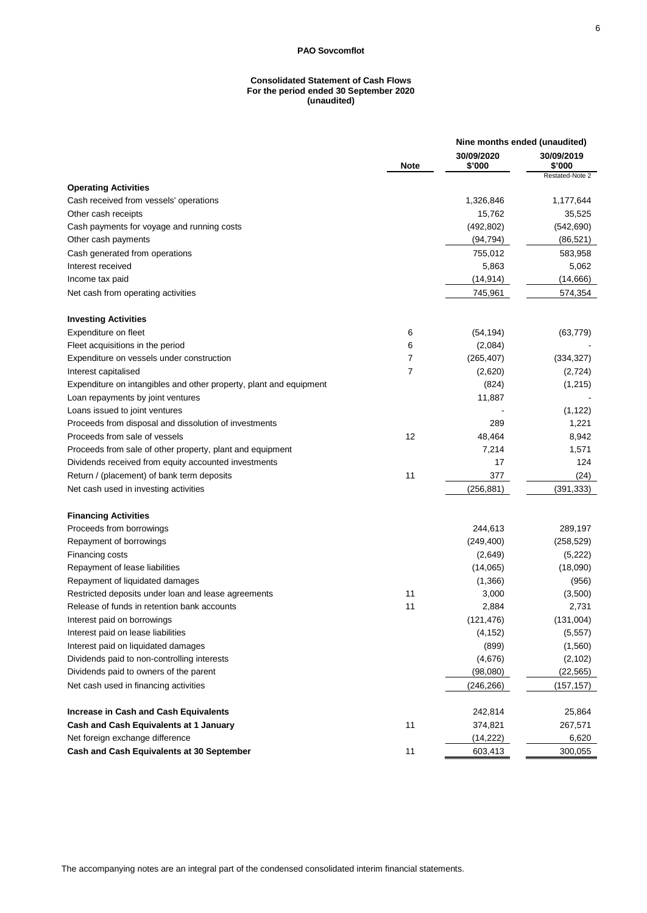### **Consolidated Statement of Cash Flows For the period ended 30 September 2020 (unaudited)**

|                                                                    | Nine months ended (unaudited) |                      |                      |  |
|--------------------------------------------------------------------|-------------------------------|----------------------|----------------------|--|
|                                                                    | <b>Note</b>                   | 30/09/2020<br>\$'000 | 30/09/2019<br>\$'000 |  |
| <b>Operating Activities</b>                                        |                               |                      | Restated-Note 2      |  |
| Cash received from vessels' operations                             |                               | 1,326,846            | 1,177,644            |  |
| Other cash receipts                                                |                               | 15,762               | 35,525               |  |
| Cash payments for voyage and running costs                         |                               | (492, 802)           | (542, 690)           |  |
| Other cash payments                                                |                               | (94, 794)            | (86, 521)            |  |
| Cash generated from operations                                     |                               | 755,012              | 583,958              |  |
| Interest received                                                  |                               | 5,863                | 5,062                |  |
| Income tax paid                                                    |                               | (14, 914)            | (14,666)             |  |
| Net cash from operating activities                                 |                               | 745,961              | 574,354              |  |
| <b>Investing Activities</b>                                        |                               |                      |                      |  |
| Expenditure on fleet                                               | 6                             | (54, 194)            | (63, 779)            |  |
| Fleet acquisitions in the period                                   | 6                             | (2,084)              |                      |  |
| Expenditure on vessels under construction                          | 7                             | (265, 407)           | (334, 327)           |  |
| Interest capitalised                                               | 7                             | (2,620)              | (2, 724)             |  |
| Expenditure on intangibles and other property, plant and equipment |                               | (824)                | (1, 215)             |  |
| Loan repayments by joint ventures                                  |                               | 11,887               |                      |  |
| Loans issued to joint ventures                                     |                               |                      | (1, 122)             |  |
| Proceeds from disposal and dissolution of investments              |                               | 289                  | 1,221                |  |
| Proceeds from sale of vessels                                      | 12                            | 48,464               | 8,942                |  |
| Proceeds from sale of other property, plant and equipment          |                               | 7,214                | 1,571                |  |
| Dividends received from equity accounted investments               |                               | 17                   | 124                  |  |
| Return / (placement) of bank term deposits                         | 11                            | 377                  | (24)                 |  |
| Net cash used in investing activities                              |                               | (256, 881)           | (391, 333)           |  |
| <b>Financing Activities</b>                                        |                               |                      |                      |  |
| Proceeds from borrowings                                           |                               | 244,613              | 289,197              |  |
| Repayment of borrowings                                            |                               | (249, 400)           | (258, 529)           |  |
| Financing costs                                                    |                               | (2,649)              | (5, 222)             |  |
| Repayment of lease liabilities                                     |                               | (14,065)             | (18,090)             |  |
| Repayment of liquidated damages                                    |                               | (1,366)              | (956)                |  |
| Restricted deposits under loan and lease agreements                | 11                            | 3,000                | (3,500)              |  |
| Release of funds in retention bank accounts                        | 11                            | 2,884                | 2,731                |  |
| Interest paid on borrowings                                        |                               | (121, 476)           | (131,004)            |  |
| Interest paid on lease liabilities                                 |                               | (4, 152)             | (5, 557)             |  |
| Interest paid on liquidated damages                                |                               | (899)                | (1, 560)             |  |
| Dividends paid to non-controlling interests                        |                               | (4,676)              | (2, 102)             |  |
| Dividends paid to owners of the parent                             |                               | (98,080)             | (22, 565)            |  |
| Net cash used in financing activities                              |                               | (246, 266)           | (157,157)            |  |
| <b>Increase in Cash and Cash Equivalents</b>                       |                               | 242,814              | 25,864               |  |
| Cash and Cash Equivalents at 1 January                             | 11                            | 374,821              | 267,571              |  |
| Net foreign exchange difference                                    |                               | (14, 222)            | 6,620                |  |
| Cash and Cash Equivalents at 30 September                          | 11                            | 603,413              | 300,055              |  |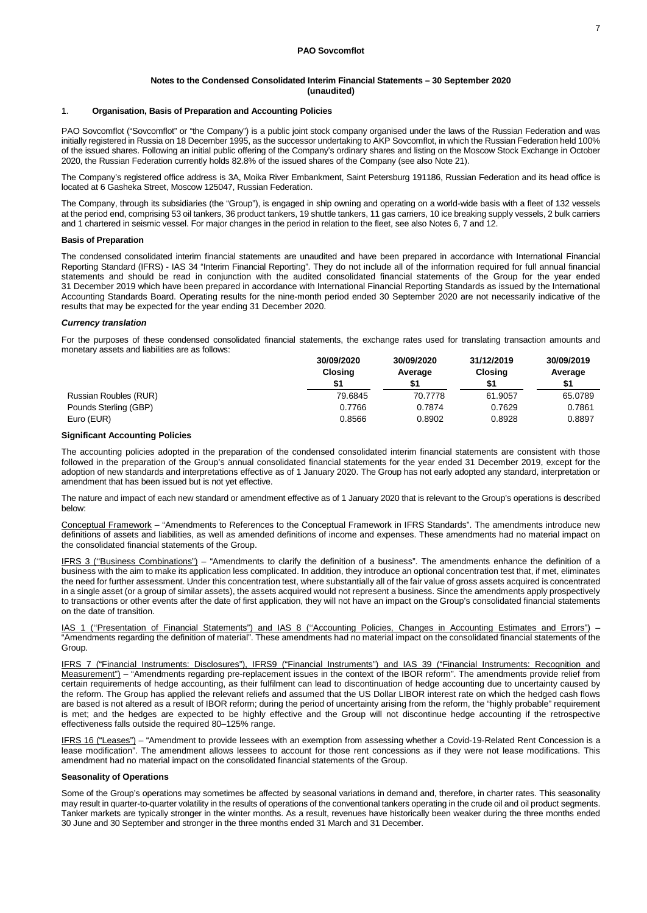#### 1. **Organisation, Basis of Preparation and Accounting Policies**

PAO Sovcomflot ("Sovcomflot" or "the Company") is a public joint stock company organised under the laws of the Russian Federation and was initially registered in Russia on 18 December 1995, as the successor undertaking to AKP Sovcomflot, in which the Russian Federation held 100% of the issued shares. Following an initial public offering of the Company's ordinary shares and listing on the Moscow Stock Exchange in October 2020, the Russian Federation currently holds 82.8% of the issued shares of the Company (see also Note 21).

The Company's registered office address is 3A, Moika River Embankment, Saint Petersburg 191186, Russian Federation and its head office is located at 6 Gasheka Street, Moscow 125047, Russian Federation.

The Company, through its subsidiaries (the "Group"), is engaged in ship owning and operating on a world-wide basis with a fleet of 132 vessels at the period end, comprising 53 oil tankers, 36 product tankers, 19 shuttle tankers, 11 gas carriers, 10 ice breaking supply vessels, 2 bulk carriers and 1 chartered in seismic vessel. For major changes in the period in relation to the fleet, see also Notes 6, 7 and 12.

#### **Basis of Preparation**

The condensed consolidated interim financial statements are unaudited and have been prepared in accordance with International Financial Reporting Standard (IFRS) - IAS 34 "Interim Financial Reporting". They do not include all of the information required for full annual financial statements and should be read in conjunction with the audited consolidated financial statements of the Group for the year ended 31 December 2019 which have been prepared in accordance with International Financial Reporting Standards as issued by the International Accounting Standards Board. Operating results for the nine-month period ended 30 September 2020 are not necessarily indicative of the results that may be expected for the year ending 31 December 2020.

#### *Currency translation*

For the purposes of these condensed consolidated financial statements, the exchange rates used for translating transaction amounts and monetary assets and liabilities are as follows:

|                       | 30/09/2020<br><b>Closing</b><br>\$1 | 30/09/2020<br>Average | 31/12/2019<br><b>Closing</b><br>\$1 | 30/09/2019<br>Average<br>\$1 |  |
|-----------------------|-------------------------------------|-----------------------|-------------------------------------|------------------------------|--|
| Russian Roubles (RUR) | 79.6845                             | 70.7778               | 61.9057                             | 65.0789                      |  |
| Pounds Sterling (GBP) | 0.7766                              | 0.7874                | 0.7629                              | 0.7861                       |  |
| Euro (EUR)            | 0.8566                              | 0.8902                | 0.8928                              | 0.8897                       |  |

#### **Significant Accounting Policies**

The accounting policies adopted in the preparation of the condensed consolidated interim financial statements are consistent with those followed in the preparation of the Group's annual consolidated financial statements for the year ended 31 December 2019, except for the adoption of new standards and interpretations effective as of 1 January 2020. The Group has not early adopted any standard, interpretation or amendment that has been issued but is not yet effective.

The nature and impact of each new standard or amendment effective as of 1 January 2020 that is relevant to the Group's operations is described below:

Conceptual Framework – "Amendments to References to the Conceptual Framework in IFRS Standards". The amendments introduce new definitions of assets and liabilities, as well as amended definitions of income and expenses. These amendments had no material impact on the consolidated financial statements of the Group.

IFRS 3 (''Business Combinations") – "Amendments to clarify the definition of a business". The amendments enhance the definition of a business with the aim to make its application less complicated. In addition, they introduce an optional concentration test that, if met, eliminates the need for further assessment. Under this concentration test, where substantially all of the fair value of gross assets acquired is concentrated in a single asset (or a group of similar assets), the assets acquired would not represent a business. Since the amendments apply prospectively to transactions or other events after the date of first application, they will not have an impact on the Group's consolidated financial statements on the date of transition.

IAS 1 (''Presentation of Financial Statements") and IAS 8 (''Accounting Policies, Changes in Accounting Estimates and Errors") – "Amendments regarding the definition of material". These amendments had no material impact on the consolidated financial statements of the Group.

IFRS 7 ("Financial Instruments: Disclosures"), IFRS9 ("Financial Instruments") and IAS 39 ("Financial Instruments: Recognition and Measurement") – "Amendments regarding pre-replacement issues in the context of the IBOR reform". The amendments provide relief from certain requirements of hedge accounting, as their fulfilment can lead to discontinuation of hedge accounting due to uncertainty caused by the reform. The Group has applied the relevant reliefs and assumed that the US Dollar LIBOR interest rate on which the hedged cash flows are based is not altered as a result of IBOR reform; during the period of uncertainty arising from the reform, the "highly probable" requirement is met; and the hedges are expected to be highly effective and the Group will not discontinue hedge accounting if the retrospective effectiveness falls outside the required 80–125% range.

IFRS 16 ("Leases") – "Amendment to provide lessees with an exemption from assessing whether a Covid-19-Related Rent Concession is a lease modification". The amendment allows lessees to account for those rent concessions as if they were not lease modifications. This amendment had no material impact on the consolidated financial statements of the Group.

### **Seasonality of Operations**

Some of the Group's operations may sometimes be affected by seasonal variations in demand and, therefore, in charter rates. This seasonality may result in quarter-to-quarter volatility in the results of operations of the conventional tankers operating in the crude oil and oil product segments. Tanker markets are typically stronger in the winter months. As a result, revenues have historically been weaker during the three months ended 30 June and 30 September and stronger in the three months ended 31 March and 31 December.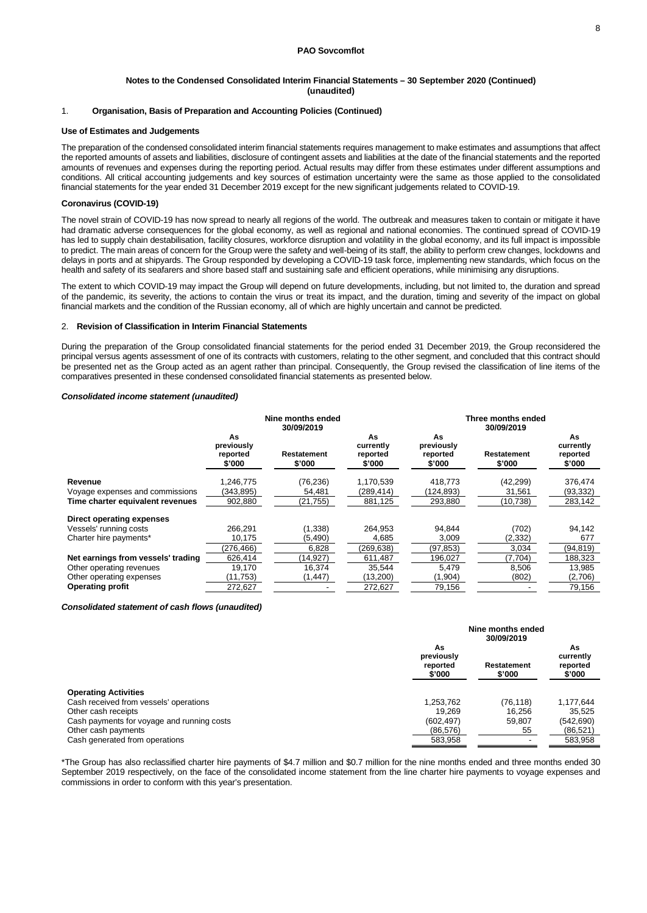### 1. **Organisation, Basis of Preparation and Accounting Policies (Continued)**

#### **Use of Estimates and Judgements**

The preparation of the condensed consolidated interim financial statements requires management to make estimates and assumptions that affect the reported amounts of assets and liabilities, disclosure of contingent assets and liabilities at the date of the financial statements and the reported amounts of revenues and expenses during the reporting period. Actual results may differ from these estimates under different assumptions and conditions. All critical accounting judgements and key sources of estimation uncertainty were the same as those applied to the consolidated financial statements for the year ended 31 December 2019 except for the new significant judgements related to COVID-19.

#### **Coronavirus (COVID-19)**

The novel strain of COVID-19 has now spread to nearly all regions of the world. The outbreak and measures taken to contain or mitigate it have had dramatic adverse consequences for the global economy, as well as regional and national economies. The continued spread of COVID-19 has led to supply chain destabilisation, facility closures, workforce disruption and volatility in the global economy, and its full impact is impossible to predict. The main areas of concern for the Group were the safety and well-being of its staff, the ability to perform crew changes, lockdowns and delays in ports and at shipyards. The Group responded by developing a COVID-19 task force, implementing new standards, which focus on the health and safety of its seafarers and shore based staff and sustaining safe and efficient operations, while minimising any disruptions.

The extent to which COVID-19 may impact the Group will depend on future developments, including, but not limited to, the duration and spread of the pandemic, its severity, the actions to contain the virus or treat its impact, and the duration, timing and severity of the impact on global financial markets and the condition of the Russian economy, all of which are highly uncertain and cannot be predicted.

### 2. **Revision of Classification in Interim Financial Statements**

During the preparation of the Group consolidated financial statements for the period ended 31 December 2019, the Group reconsidered the principal versus agents assessment of one of its contracts with customers, relating to the other segment, and concluded that this contract should be presented net as the Group acted as an agent rather than principal. Consequently, the Group revised the classification of line items of the comparatives presented in these condensed consolidated financial statements as presented below.

### *Consolidated income statement (unaudited)*

|                                    | Nine months ended<br>30/09/2019        |                       |                                       | Three months ended<br>30/09/2019       |                       |                                       |  |
|------------------------------------|----------------------------------------|-----------------------|---------------------------------------|----------------------------------------|-----------------------|---------------------------------------|--|
|                                    | As<br>previously<br>reported<br>\$'000 | Restatement<br>\$'000 | As<br>currently<br>reported<br>\$'000 | As<br>previously<br>reported<br>\$'000 | Restatement<br>\$'000 | As<br>currently<br>reported<br>\$'000 |  |
| Revenue                            | 1,246,775                              | (76, 236)             | 1,170,539                             | 418,773                                | (42, 299)             | 376,474                               |  |
| Voyage expenses and commissions    | (343,895)                              | 54,481                | (289,414)                             | 124,893)                               | 31,561                | (93, 332)                             |  |
| Time charter equivalent revenues   | 902,880                                | (21, 755)             | 881,125                               | 293,880                                | (10, 738)             | 283,142                               |  |
| Direct operating expenses          |                                        |                       |                                       |                                        |                       |                                       |  |
| Vessels' running costs             | 266.291                                | (1, 338)              | 264.953                               | 94.844                                 | (702)                 | 94,142                                |  |
| Charter hire payments*             | 10,175                                 | (5, 490)              | 4,685                                 | 3,009                                  | (2,332)               | 677                                   |  |
|                                    | (276.466)                              | 6,828                 | (269,638)                             | (97, 853)                              | 3,034                 | (94, 819)                             |  |
| Net earnings from vessels' trading | 626.414                                | (14, 927)             | 611,487                               | 196,027                                | (7,704)               | 188,323                               |  |
| Other operating revenues           | 19,170                                 | 16,374                | 35,544                                | 5,479                                  | 8,506                 | 13,985                                |  |
| Other operating expenses           | (11,753)                               | (1, 447)              | (13,200)                              | (1, 904)                               | (802)                 | (2,706)                               |  |
| <b>Operating profit</b>            | 272,627                                |                       | 272,627                               | 79,156                                 |                       | 79,156                                |  |

#### *Consolidated statement of cash flows (unaudited)*

|                                            | Nine months ended<br>30/09/2019        |                       |                                       |  |
|--------------------------------------------|----------------------------------------|-----------------------|---------------------------------------|--|
|                                            | As<br>previously<br>reported<br>\$'000 | Restatement<br>\$'000 | As<br>currently<br>reported<br>\$'000 |  |
| <b>Operating Activities</b>                |                                        |                       |                                       |  |
| Cash received from vessels' operations     | 1,253,762                              | (76, 118)             | 1,177,644                             |  |
| Other cash receipts                        | 19.269                                 | 16.256                | 35,525                                |  |
| Cash payments for voyage and running costs | (602, 497)                             | 59,807                | (542, 690)                            |  |
| Other cash payments                        | (86, 576)                              | 55                    | (86, 521)                             |  |
| Cash generated from operations             | 583,958                                |                       | 583,958                               |  |

\*The Group has also reclassified charter hire payments of \$4.7 million and \$0.7 million for the nine months ended and three months ended 30 September 2019 respectively, on the face of the consolidated income statement from the line charter hire payments to voyage expenses and commissions in order to conform with this year's presentation.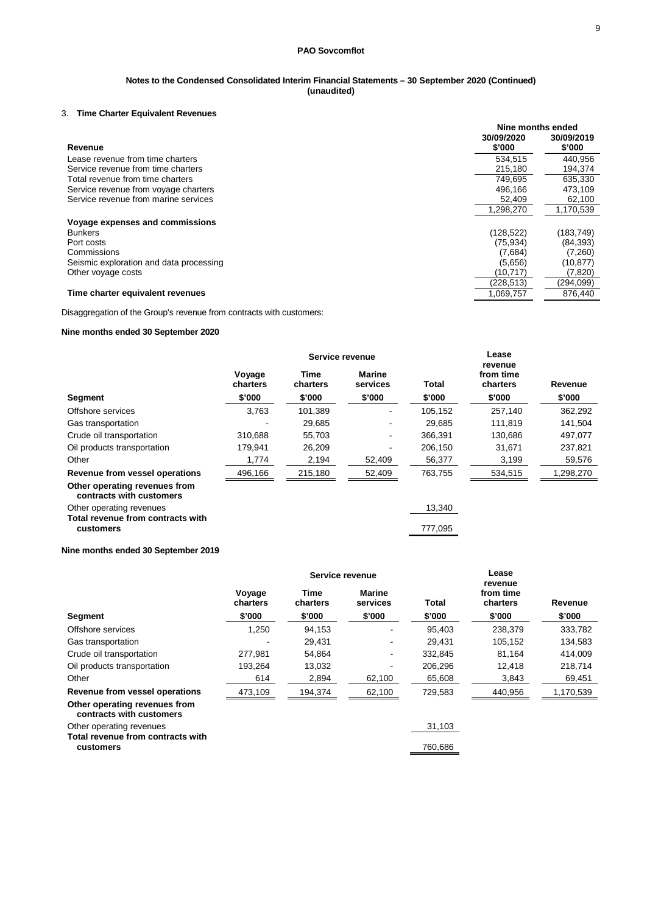### **Notes to the Condensed Consolidated Interim Financial Statements – 30 September 2020 (Continued) (unaudited)**

## 3. **Time Charter Equivalent Revenues**

|                                         | Nine months ended |            |  |
|-----------------------------------------|-------------------|------------|--|
|                                         | 30/09/2020        | 30/09/2019 |  |
| Revenue                                 | \$'000            | \$'000     |  |
| Lease revenue from time charters        | 534.515           | 440.956    |  |
| Service revenue from time charters      | 215.180           | 194,374    |  |
| Total revenue from time charters        | 749.695           | 635.330    |  |
| Service revenue from voyage charters    | 496.166           | 473,109    |  |
| Service revenue from marine services    | 52.409            | 62,100     |  |
|                                         | 1,298,270         | 1,170,539  |  |
| Voyage expenses and commissions         |                   |            |  |
| <b>Bunkers</b>                          | (128, 522)        | (183,749)  |  |
| Port costs                              | (75, 934)         | (84, 393)  |  |
| Commissions                             | (7,684)           | (7,260)    |  |
| Seismic exploration and data processing | (5,656)           | (10, 877)  |  |
| Other voyage costs                      | (10, 717)         | (7,820)    |  |
|                                         | (228,513)         | (294,099)  |  |
| Time charter equivalent revenues        | 1,069,757         | 876,440    |  |

Disaggregation of the Group's revenue from contracts with customers:

## **Nine months ended 30 September 2020**

|                                                               |                    | Service revenue  |                           |         | Lease<br>revenue      |           |
|---------------------------------------------------------------|--------------------|------------------|---------------------------|---------|-----------------------|-----------|
|                                                               | Voyage<br>charters | Time<br>charters | <b>Marine</b><br>services | Total   | from time<br>charters | Revenue   |
| Segment                                                       | \$'000             | \$'000           | \$'000                    | \$'000  | \$'000                | \$'000    |
| Offshore services                                             | 3,763              | 101,389          |                           | 105,152 | 257,140               | 362,292   |
| Gas transportation                                            |                    | 29,685           |                           | 29.685  | 111,819               | 141,504   |
| Crude oil transportation                                      | 310.688            | 55,703           | $\blacksquare$            | 366.391 | 130,686               | 497,077   |
| Oil products transportation                                   | 179.941            | 26,209           |                           | 206,150 | 31,671                | 237,821   |
| Other                                                         | 1,774              | 2,194            | 52,409                    | 56,377  | 3,199                 | 59,576    |
| Revenue from vessel operations                                | 496,166            | 215,180          | 52,409                    | 763,755 | 534,515               | 1,298,270 |
| Other operating revenues from<br>contracts with customers     |                    |                  |                           |         |                       |           |
| Other operating revenues<br>Total revenue from contracts with |                    |                  |                           | 13,340  |                       |           |
| customers                                                     |                    |                  |                           | 777,095 |                       |           |

## **Nine months ended 30 September 2019**

|                                                           | Service revenue    |                  |                           |         |                                  |           |
|-----------------------------------------------------------|--------------------|------------------|---------------------------|---------|----------------------------------|-----------|
|                                                           | Voyage<br>charters | Time<br>charters | <b>Marine</b><br>services | Total   | revenue<br>from time<br>charters | Revenue   |
| Segment                                                   | \$'000             | \$'000           | \$'000                    | \$'000  | \$'000                           | \$'000    |
| Offshore services                                         | 1,250              | 94,153           |                           | 95.403  | 238,379                          | 333,782   |
| Gas transportation                                        |                    | 29.431           |                           | 29.431  | 105,152                          | 134,583   |
| Crude oil transportation                                  | 277,981            | 54,864           |                           | 332.845 | 81.164                           | 414.009   |
| Oil products transportation                               | 193.264            | 13,032           |                           | 206.296 | 12.418                           | 218,714   |
| Other                                                     | 614                | 2,894            | 62,100                    | 65,608  | 3,843                            | 69,451    |
| Revenue from vessel operations                            | 473,109            | 194,374          | 62,100                    | 729,583 | 440,956                          | 1,170,539 |
| Other operating revenues from<br>contracts with customers |                    |                  |                           |         |                                  |           |
| Other operating revenues                                  |                    |                  |                           | 31,103  |                                  |           |
| Total revenue from contracts with<br>customers            |                    |                  |                           | 760,686 |                                  |           |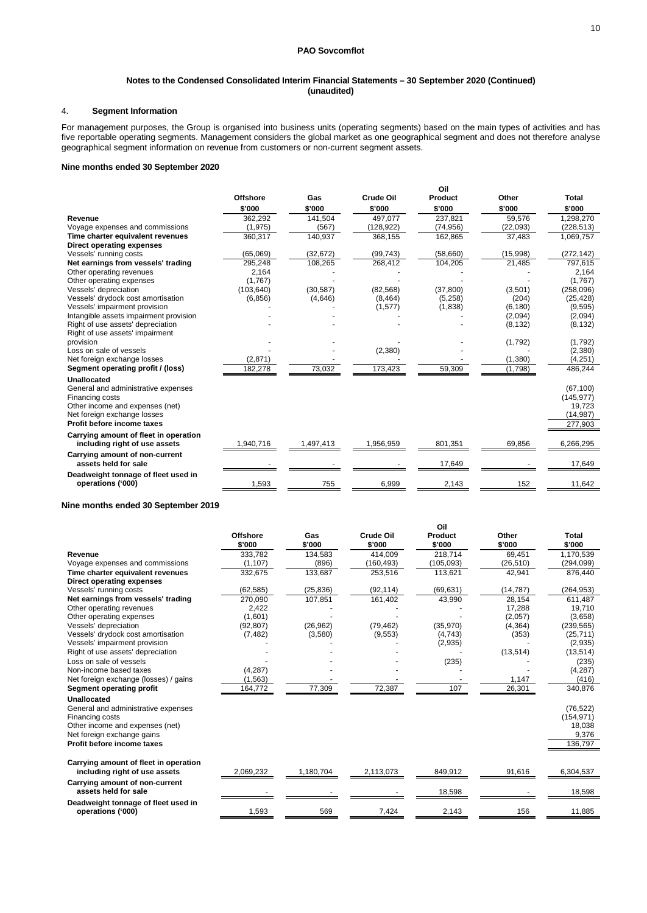## 4. **Segment Information**

For management purposes, the Group is organised into business units (operating segments) based on the main types of activities and has five reportable operating segments. Management considers the global market as one geographical segment and does not therefore analyse geographical segment information on revenue from customers or non-current segment assets.

#### **Nine months ended 30 September 2020**

|                                        |                 |           |                  | Oil       |          |              |
|----------------------------------------|-----------------|-----------|------------------|-----------|----------|--------------|
|                                        | <b>Offshore</b> | Gas       | <b>Crude Oil</b> | Product   | Other    | <b>Total</b> |
|                                        | \$'000          | \$'000    | \$'000           | \$'000    | \$'000   | \$'000       |
| Revenue                                | 362,292         | 141,504   | 497.077          | 237,821   | 59,576   | 1,298,270    |
| Voyage expenses and commissions        | (1,975)         | (567)     | (128,922)        | (74, 956) | (22,093) | (228, 513)   |
| Time charter equivalent revenues       | 360,317         | 140,937   | 368,155          | 162,865   | 37,483   | 1,069,757    |
| Direct operating expenses              |                 |           |                  |           |          |              |
| Vessels' running costs                 | (65,069)        | (32, 672) | (99, 743)        | (58,660)  | (15,998) | (272, 142)   |
| Net earnings from vessels' trading     | 295,248         | 108,265   | 268,412          | 104,205   | 21,485   | 797,615      |
| Other operating revenues               | 2,164           |           |                  |           |          | 2,164        |
| Other operating expenses               | (1,767)         |           |                  |           |          | (1,767)      |
| Vessels' depreciation                  | (103, 640)      | (30, 587) | (82, 568)        | (37, 800) | (3,501)  | (258,096)    |
| Vessels' drydock cost amortisation     | (6, 856)        | (4,646)   | (8, 464)         | (5, 258)  | (204)    | (25, 428)    |
| Vessels' impairment provision          |                 |           | (1, 577)         | (1,838)   | (6, 180) | (9,595)      |
| Intangible assets impairment provision |                 |           |                  |           | (2,094)  | (2,094)      |
| Right of use assets' depreciation      |                 |           |                  |           | (8, 132) | (8, 132)     |
| Right of use assets' impairment        |                 |           |                  |           |          |              |
| provision                              |                 |           |                  |           | (1,792)  | (1,792)      |
| Loss on sale of vessels                |                 |           | (2,380)          |           |          | (2,380)      |
| Net foreign exchange losses            | (2,871)         |           |                  |           | (1, 380) | (4,251)      |
| Segment operating profit / (loss)      | 182,278         | 73,032    | 173,423          | 59,309    | (1,798)  | 486,244      |
| Unallocated                            |                 |           |                  |           |          |              |
| General and administrative expenses    |                 |           |                  |           |          | (67, 100)    |
| Financing costs                        |                 |           |                  |           |          | (145, 977)   |
| Other income and expenses (net)        |                 |           |                  |           |          | 19,723       |
| Net foreign exchange losses            |                 |           |                  |           |          | (14, 987)    |
| Profit before income taxes             |                 |           |                  |           |          | 277,903      |
| Carrying amount of fleet in operation  |                 |           |                  |           |          |              |
| including right of use assets          | 1.940.716       | 1,497,413 | 1,956,959        | 801,351   | 69.856   | 6,266,295    |
| Carrying amount of non-current         |                 |           |                  |           |          |              |
| assets held for sale                   |                 |           |                  | 17,649    |          | 17,649       |
| Deadweight tonnage of fleet used in    |                 |           |                  |           |          |              |
| operations ('000)                      | 1,593           | 755       | 6,999            | 2,143     | 152      | 11,642       |

**Nine months ended 30 September 2019**

|                                                                        | <b>Offshore</b><br>\$'000 | Gas<br>\$'000 | <b>Crude Oil</b><br>\$'000 | Oil<br>Product<br>\$'000 | Other<br>\$'000 | Total<br>\$'000 |
|------------------------------------------------------------------------|---------------------------|---------------|----------------------------|--------------------------|-----------------|-----------------|
| Revenue                                                                | 333,782                   | 134,583       | 414,009                    | 218,714                  | 69,451          | 1,170,539       |
| Voyage expenses and commissions                                        | (1, 107)                  | (896)         | (160, 493)                 | (105, 093)               | (26, 510)       | (294, 099)      |
| Time charter equivalent revenues                                       | 332,675                   | 133,687       | 253,516                    | 113,621                  | 42,941          | 876.440         |
| Direct operating expenses                                              |                           |               |                            |                          |                 |                 |
| Vessels' running costs                                                 | (62, 585)                 | (25, 836)     | (92, 114)                  | (69, 631)                | (14, 787)       | (264, 953)      |
| Net earnings from vessels' trading                                     | 270,090                   | 107,851       | 161,402                    | 43,990                   | 28,154          | 611,487         |
| Other operating revenues                                               | 2,422                     |               |                            |                          | 17,288          | 19.710          |
| Other operating expenses                                               | (1,601)                   |               |                            |                          | (2,057)         | (3,658)         |
| Vessels' depreciation                                                  | (92, 807)                 | (26.962)      | (79, 462)                  | (35,970)                 | (4, 364)        | (239, 565)      |
| Vessels' drydock cost amortisation                                     | (7, 482)                  | (3,580)       | (9,553)                    | (4,743)                  | (353)           | (25, 711)       |
| Vessels' impairment provision                                          |                           |               |                            | (2,935)                  |                 | (2,935)         |
| Right of use assets' depreciation                                      |                           |               |                            |                          | (13, 514)       | (13, 514)       |
| Loss on sale of vessels                                                |                           |               |                            | (235)                    |                 | (235)           |
| Non-income based taxes                                                 | (4, 287)                  |               |                            |                          |                 | (4, 287)        |
| Net foreign exchange (losses) / gains                                  | (1, 563)                  |               |                            |                          | 1,147           | (416)           |
| Segment operating profit                                               | 164,772                   | 77,309        | 72,387                     | 107                      | 26,301          | 340,876         |
| Unallocated                                                            |                           |               |                            |                          |                 |                 |
| General and administrative expenses                                    |                           |               |                            |                          |                 | (76, 522)       |
| Financing costs                                                        |                           |               |                            |                          |                 | (154, 971)      |
| Other income and expenses (net)                                        |                           |               |                            |                          |                 | 18,038          |
| Net foreign exchange gains                                             |                           |               |                            |                          |                 | 9,376           |
| Profit before income taxes                                             |                           |               |                            |                          |                 | 136,797         |
| Carrying amount of fleet in operation<br>including right of use assets | 2,069,232                 | 1,180,704     | 2,113,073                  | 849,912                  | 91,616          | 6,304,537       |
|                                                                        |                           |               |                            |                          |                 |                 |
| Carrying amount of non-current<br>assets held for sale                 |                           |               |                            | 18,598                   |                 | 18,598          |
| Deadweight tonnage of fleet used in<br>operations ('000)               | 1,593                     | 569           | 7,424                      | 2,143                    | 156             | 11,885          |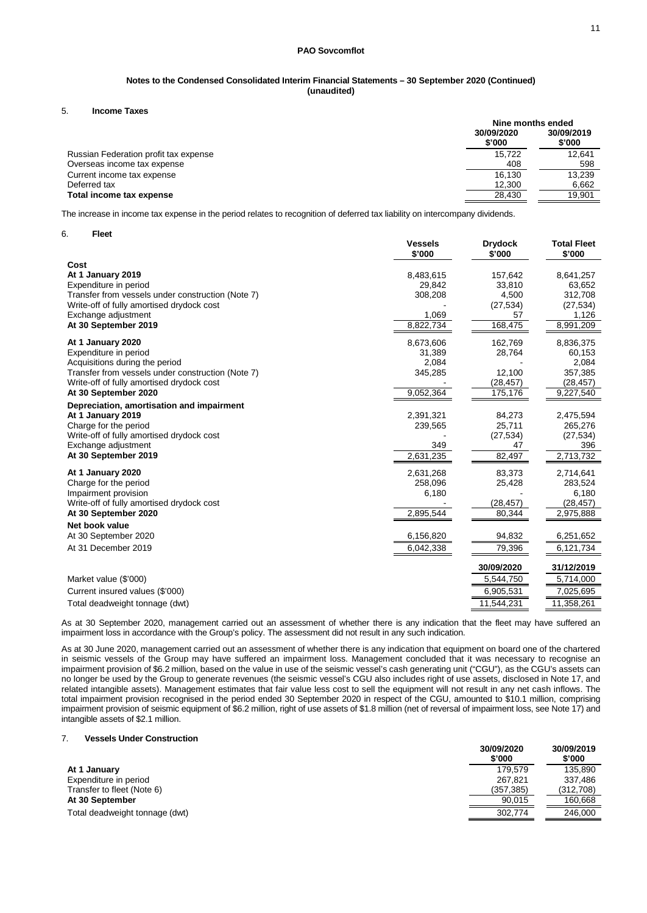### **Notes to the Condensed Consolidated Interim Financial Statements – 30 September 2020 (Continued) (unaudited)**

5. **Income Taxes**

|                                       | Nine months ended    |                      |  |
|---------------------------------------|----------------------|----------------------|--|
|                                       | 30/09/2020<br>\$'000 | 30/09/2019<br>\$'000 |  |
| Russian Federation profit tax expense | 15.722               | 12.641               |  |
| Overseas income tax expense           | 408                  | 598                  |  |
| Current income tax expense            | 16.130               | 13.239               |  |
| Deferred tax                          | 12.300               | 6,662                |  |
| Total income tax expense              | 28.430               | 19.901               |  |

The increase in income tax expense in the period relates to recognition of deferred tax liability on intercompany dividends.

6. **Fleet**

|                                                   | Vessels<br>\$'000 | <b>Drydock</b><br>\$'000 | <b>Total Fleet</b><br>\$'000 |
|---------------------------------------------------|-------------------|--------------------------|------------------------------|
| Cost                                              |                   |                          |                              |
| At 1 January 2019                                 | 8,483,615         | 157,642                  | 8,641,257                    |
| Expenditure in period                             | 29,842            | 33.810                   | 63,652                       |
| Transfer from vessels under construction (Note 7) | 308,208           | 4,500                    | 312,708                      |
| Write-off of fully amortised drydock cost         |                   | (27, 534)                | (27, 534)                    |
| Exchange adjustment                               | 1,069             | 57                       | 1,126                        |
| At 30 September 2019                              | 8,822,734         | 168,475                  | 8,991,209                    |
| At 1 January 2020                                 | 8,673,606         | 162,769                  | 8,836,375                    |
| Expenditure in period                             | 31,389            | 28,764                   | 60,153                       |
| Acquisitions during the period                    | 2,084             |                          | 2,084                        |
| Transfer from vessels under construction (Note 7) | 345,285           | 12,100                   | 357,385                      |
| Write-off of fully amortised drydock cost         |                   | (28, 457)                | (28, 457)                    |
| At 30 September 2020                              | 9,052,364         | 175,176                  | 9,227,540                    |
| Depreciation, amortisation and impairment         |                   |                          |                              |
| At 1 January 2019                                 | 2,391,321         | 84,273                   | 2,475,594                    |
| Charge for the period                             | 239,565           | 25,711                   | 265,276                      |
| Write-off of fully amortised drydock cost         |                   | (27, 534)                | (27, 534)                    |
| Exchange adjustment                               | 349               | 47                       | 396                          |
| At 30 September 2019                              | 2,631,235         | 82,497                   | 2,713,732                    |
| At 1 January 2020                                 | 2,631,268         | 83,373                   | 2,714,641                    |
| Charge for the period                             | 258,096           | 25,428                   | 283,524                      |
| Impairment provision                              | 6,180             |                          | 6,180                        |
| Write-off of fully amortised drydock cost         |                   | (28, 457)                | (28, 457)                    |
| At 30 September 2020                              | 2,895,544         | 80,344                   | 2,975,888                    |
| Net book value                                    |                   |                          |                              |
| At 30 September 2020                              | 6,156,820         | 94,832                   | 6,251,652                    |
| At 31 December 2019                               | 6,042,338         | 79,396                   | 6,121,734                    |
|                                                   |                   | 30/09/2020               | 31/12/2019                   |
| Market value (\$'000)                             |                   | 5,544,750                | 5,714,000                    |
| Current insured values (\$'000)                   |                   | 6,905,531                | 7,025,695                    |
| Total deadweight tonnage (dwt)                    |                   | 11,544,231               | 11,358,261                   |
|                                                   |                   |                          |                              |

As at 30 September 2020, management carried out an assessment of whether there is any indication that the fleet may have suffered an impairment loss in accordance with the Group's policy. The assessment did not result in any such indication.

As at 30 June 2020, management carried out an assessment of whether there is any indication that equipment on board one of the chartered in seismic vessels of the Group may have suffered an impairment loss. Management concluded that it was necessary to recognise an impairment provision of \$6.2 million, based on the value in use of the seismic vessel's cash generating unit ("CGU"), as the CGU's assets can no longer be used by the Group to generate revenues (the seismic vessel's CGU also includes right of use assets, disclosed in Note 17, and related intangible assets). Management estimates that fair value less cost to sell the equipment will not result in any net cash inflows. The total impairment provision recognised in the period ended 30 September 2020 in respect of the CGU, amounted to \$10.1 million, comprising impairment provision of seismic equipment of \$6.2 million, right of use assets of \$1.8 million (net of reversal of impairment loss, see Note 17) and intangible assets of \$2.1 million.

#### 7. **Vessels Under Construction**

|                                | 30/09/2020<br>\$'000 | 30/09/2019<br>\$'000 |
|--------------------------------|----------------------|----------------------|
| At 1 January                   | 179.579              | 135.890              |
| Expenditure in period          | 267.821              | 337.486              |
| Transfer to fleet (Note 6)     | (357, 385)           | (312,708)            |
| At 30 September                | 90.015               | 160.668              |
| Total deadweight tonnage (dwt) | 302,774              | 246.000              |
|                                |                      |                      |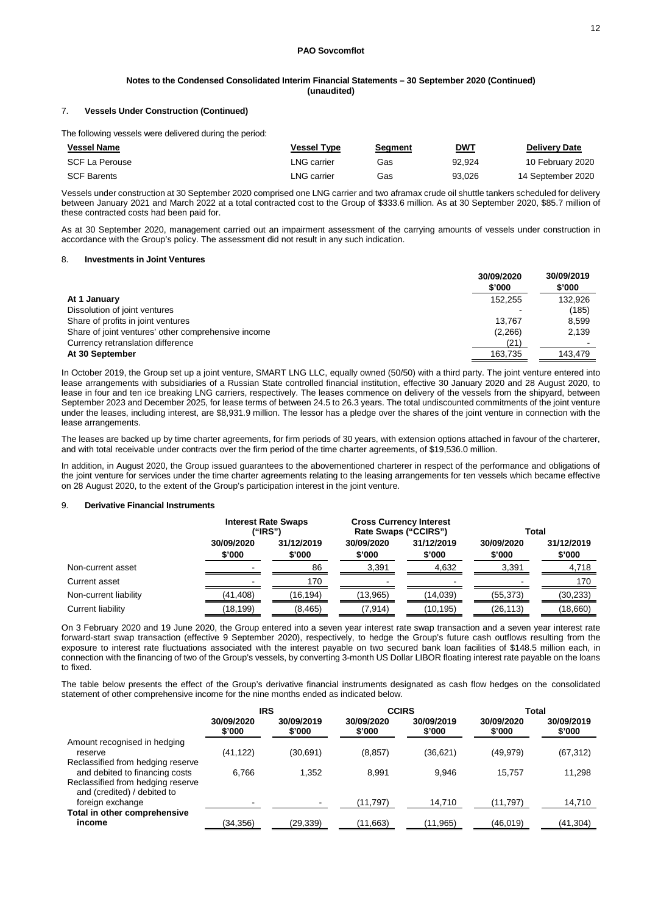#### 7. **Vessels Under Construction (Continued)**

The following vessels were delivered during the period:

| <b>Vessel Name</b> | Vessel Tvpe | Segment | <b>DWT</b> | <b>Delivery Date</b> |
|--------------------|-------------|---------|------------|----------------------|
| SCF La Perouse     | ∟NG carrier | Gas     | 92.924     | 10 February 2020     |
| <b>SCF Barents</b> | ∟NG carrier | Gas     | 93.026     | 14 September 2020    |

Vessels under construction at 30 September 2020 comprised one LNG carrier and two aframax crude oil shuttle tankers scheduled for delivery between January 2021 and March 2022 at a total contracted cost to the Group of \$333.6 million. As at 30 September 2020, \$85.7 million of these contracted costs had been paid for.

As at 30 September 2020, management carried out an impairment assessment of the carrying amounts of vessels under construction in accordance with the Group's policy. The assessment did not result in any such indication.

### 8. **Investments in Joint Ventures**

|                                                     | 30/09/2020<br>\$'000 | 30/09/2019<br>\$'000 |
|-----------------------------------------------------|----------------------|----------------------|
| At 1 January                                        | 152.255              | 132,926              |
| Dissolution of joint ventures                       |                      | (185)                |
| Share of profits in joint ventures                  | 13.767               | 8.599                |
| Share of joint ventures' other comprehensive income | (2,266)              | 2,139                |
| Currency retranslation difference                   | (21)                 |                      |
| At 30 September                                     | 163,735              | 143.479              |

In October 2019, the Group set up a joint venture, SMART LNG LLC, equally owned (50/50) with a third party. The joint venture entered into lease arrangements with subsidiaries of a Russian State controlled financial institution, effective 30 January 2020 and 28 August 2020, to lease in four and ten ice breaking LNG carriers, respectively. The leases commence on delivery of the vessels from the shipyard, between September 2023 and December 2025, for lease terms of between 24.5 to 26.3 years. The total undiscounted commitments of the joint venture under the leases, including interest, are \$8,931.9 million. The lessor has a pledge over the shares of the joint venture in connection with the lease arrangements.

The leases are backed up by time charter agreements, for firm periods of 30 years, with extension options attached in favour of the charterer, and with total receivable under contracts over the firm period of the time charter agreements, of \$19,536.0 million.

In addition, in August 2020, the Group issued guarantees to the abovementioned charterer in respect of the performance and obligations of the joint venture for services under the time charter agreements relating to the leasing arrangements for ten vessels which became effective on 28 August 2020, to the extent of the Group's participation interest in the joint venture.

#### 9. **Derivative Financial Instruments**

|                       |                      | <b>Interest Rate Swaps</b><br>("IRS") |                      | <b>Cross Currency Interest</b><br>Rate Swaps ("CCIRS") |                      | Total                |  |
|-----------------------|----------------------|---------------------------------------|----------------------|--------------------------------------------------------|----------------------|----------------------|--|
|                       | 30/09/2020<br>\$'000 | 31/12/2019<br>\$'000                  | 30/09/2020<br>\$'000 | 31/12/2019<br>\$'000                                   | 30/09/2020<br>\$'000 | 31/12/2019<br>\$'000 |  |
| Non-current asset     |                      | 86                                    | 3,391                | 4,632                                                  | 3,391                | 4,718                |  |
| Current asset         | -                    | 170                                   |                      |                                                        |                      | 170                  |  |
| Non-current liability | (41, 408)            | (16,194)                              | (13,965)             | (14,039)                                               | (55, 373)            | (30, 233)            |  |
| Current liability     | (18,199)             | (8, 465)                              | (7, 914)             | (10,195)                                               | (26, 113)            | (18,660)             |  |

On 3 February 2020 and 19 June 2020, the Group entered into a seven year interest rate swap transaction and a seven year interest rate forward-start swap transaction (effective 9 September 2020), respectively, to hedge the Group's future cash outflows resulting from the exposure to interest rate fluctuations associated with the interest payable on two secured bank loan facilities of \$148.5 million each, in connection with the financing of two of the Group's vessels, by converting 3-month US Dollar LIBOR floating interest rate payable on the loans to fixed.

The table below presents the effect of the Group's derivative financial instruments designated as cash flow hedges on the consolidated statement of other comprehensive income for the nine months ended as indicated below.

|                                                                     | <b>IRS</b>           |                      |                      | <b>CCIRS</b>         | Total                |                      |
|---------------------------------------------------------------------|----------------------|----------------------|----------------------|----------------------|----------------------|----------------------|
|                                                                     | 30/09/2020<br>\$'000 | 30/09/2019<br>\$'000 | 30/09/2020<br>\$'000 | 30/09/2019<br>\$'000 | 30/09/2020<br>\$'000 | 30/09/2019<br>\$'000 |
| Amount recognised in hedging<br>reserve                             | (41,122)             | (30,691)             | (8, 857)             | (36,621)             | (49, 979)            | (67, 312)            |
| Reclassified from hedging reserve<br>and debited to financing costs | 6.766                | 1.352                | 8.991                | 9.946                | 15.757               | 11,298               |
| Reclassified from hedging reserve<br>and (credited) / debited to    |                      |                      |                      |                      |                      |                      |
| foreign exchange                                                    |                      |                      | (11, 797)            | 14.710               | (11.797)             | 14,710               |
| Total in other comprehensive<br>income                              | (34,356)             | (29,339)             | (11,663)             | (11, 965)            | (46, 019)            | (41,304)             |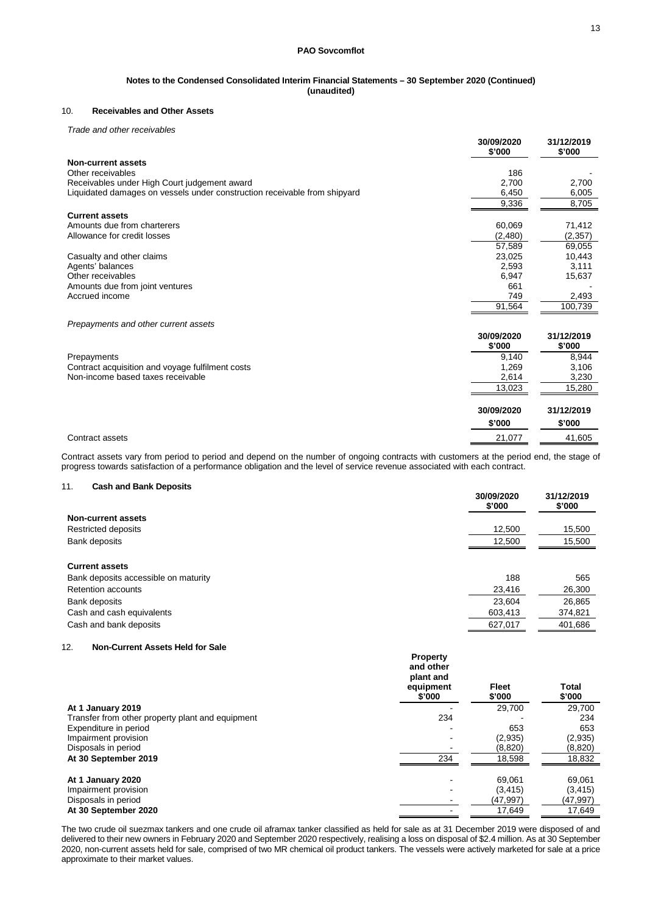## 10. **Receivables and Other Assets**

*Trade and other receivables*

|                                                                           | 30/09/2020<br>\$'000 | 31/12/2019<br>\$'000 |
|---------------------------------------------------------------------------|----------------------|----------------------|
| <b>Non-current assets</b>                                                 |                      |                      |
| Other receivables                                                         | 186                  |                      |
| Receivables under High Court judgement award                              | 2,700                | 2,700                |
| Liquidated damages on vessels under construction receivable from shipyard | 6,450                | 6,005                |
|                                                                           | 9,336                | 8,705                |
| <b>Current assets</b>                                                     |                      |                      |
| Amounts due from charterers                                               | 60,069               | 71,412               |
| Allowance for credit losses                                               | (2,480)              | (2, 357)             |
|                                                                           | 57,589               | 69,055               |
| Casualty and other claims                                                 | 23,025               | 10,443               |
| Agents' balances                                                          | 2,593                | 3,111                |
| Other receivables                                                         | 6,947                | 15,637               |
| Amounts due from joint ventures                                           | 661                  |                      |
| Accrued income                                                            | 749                  | 2,493                |
|                                                                           | 91,564               | 100,739              |
| Prepayments and other current assets                                      |                      |                      |
|                                                                           | 30/09/2020<br>\$'000 | 31/12/2019<br>\$'000 |
| Prepayments                                                               | 9.140                | 8,944                |
| Contract acquisition and voyage fulfilment costs                          | 1,269                | 3,106                |
| Non-income based taxes receivable                                         | 2,614                | 3,230                |
|                                                                           | 13,023               | 15,280               |
|                                                                           | 30/09/2020           | 31/12/2019           |
|                                                                           | \$'000               | \$'000               |
| Contract assets                                                           | 21,077               | 41,605               |

Contract assets vary from period to period and depend on the number of ongoing contracts with customers at the period end, the stage of progress towards satisfaction of a performance obligation and the level of service revenue associated with each contract.

### 11. **Cash and Bank Deposits**

|                                                                                            | 30/09/2020<br>\$'000 | 31/12/2019<br>\$'000 |
|--------------------------------------------------------------------------------------------|----------------------|----------------------|
| Non-current assets                                                                         |                      |                      |
| Restricted deposits                                                                        | 12,500               | 15,500               |
| Bank deposits                                                                              | 12,500               | 15,500               |
| <b>Current assets</b><br>Bank deposits accessible on maturity<br><b>Retention accounts</b> | 188<br>23,416        | 565<br>26,300        |
| Bank deposits                                                                              | 23,604               | 26,865               |
| Cash and cash equivalents                                                                  | 603,413              | 374,821              |
| Cash and bank deposits                                                                     | 627,017              | 401,686              |

### 12. **Non-Current Assets Held for Sale**

|                                                  | <b>Property</b><br>and other<br>plant and<br>equipment<br>\$'000 | <b>Fleet</b><br>\$'000 | <b>Total</b><br>\$'000 |
|--------------------------------------------------|------------------------------------------------------------------|------------------------|------------------------|
| At 1 January 2019                                |                                                                  | 29,700                 | 29,700                 |
| Transfer from other property plant and equipment | 234                                                              |                        | 234                    |
| Expenditure in period                            |                                                                  | 653                    | 653                    |
| Impairment provision                             |                                                                  | (2,935)                | (2,935)                |
| Disposals in period                              |                                                                  | (8,820)                | (8,820)                |
| At 30 September 2019                             | 234                                                              | 18,598                 | 18,832                 |
| At 1 January 2020                                |                                                                  | 69.061                 | 69,061                 |
| Impairment provision                             |                                                                  | (3, 415)               | (3, 415)               |
| Disposals in period                              |                                                                  | (47,997)               | (47,997)               |
| At 30 September 2020                             |                                                                  | 17,649                 | 17,649                 |

The two crude oil suezmax tankers and one crude oil aframax tanker classified as held for sale as at 31 December 2019 were disposed of and delivered to their new owners in February 2020 and September 2020 respectively, realising a loss on disposal of \$2.4 million. As at 30 September 2020, non-current assets held for sale, comprised of two MR chemical oil product tankers. The vessels were actively marketed for sale at a price approximate to their market values.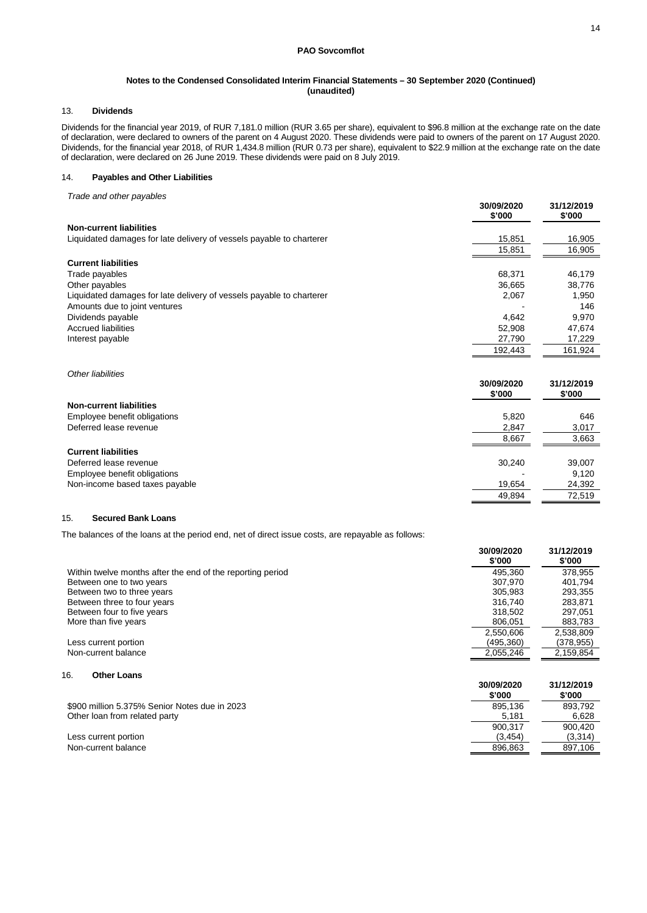### 13. **Dividends**

Dividends for the financial year 2019, of RUR 7,181.0 million (RUR 3.65 per share), equivalent to \$96.8 million at the exchange rate on the date of declaration, were declared to owners of the parent on 4 August 2020. These dividends were paid to owners of the parent on 17 August 2020. Dividends, for the financial year 2018, of RUR 1,434.8 million (RUR 0.73 per share), equivalent to \$22.9 million at the exchange rate on the date of declaration, were declared on 26 June 2019. These dividends were paid on 8 July 2019.

## 14. **Payables and Other Liabilities**

*Trade and other payables*

|                                                                      | 30/09/2020<br>\$'000 | 31/12/2019<br>\$'000 |
|----------------------------------------------------------------------|----------------------|----------------------|
| <b>Non-current liabilities</b>                                       |                      |                      |
| Liquidated damages for late delivery of vessels payable to charterer | 15,851               | 16,905               |
|                                                                      | 15,851               | 16,905               |
| <b>Current liabilities</b>                                           |                      |                      |
| Trade payables                                                       | 68.371               | 46,179               |
| Other payables                                                       | 36,665               | 38,776               |
| Liquidated damages for late delivery of vessels payable to charterer | 2,067                | 1,950                |
| Amounts due to joint ventures                                        |                      | 146                  |
| Dividends payable                                                    | 4.642                | 9,970                |
| <b>Accrued liabilities</b>                                           | 52.908               | 47,674               |
| Interest payable                                                     | 27,790               | 17,229               |
|                                                                      | 192,443              | 161,924              |
|                                                                      |                      |                      |

| Other liabilities              | 30/09/2020 | 31/12/2019 |
|--------------------------------|------------|------------|
|                                | \$'000     | \$'000     |
| <b>Non-current liabilities</b> |            |            |
| Employee benefit obligations   | 5,820      | 646        |
| Deferred lease revenue         | 2,847      | 3,017      |
|                                | 8,667      | 3,663      |
| <b>Current liabilities</b>     |            |            |
| Deferred lease revenue         | 30.240     | 39,007     |
| Employee benefit obligations   |            | 9.120      |
| Non-income based taxes payable | 19,654     | 24,392     |
|                                | 49,894     | 72,519     |

### 15. **Secured Bank Loans**

The balances of the loans at the period end, net of direct issue costs, are repayable as follows:

|                                                            | 30/09/2020<br>\$'000 | 31/12/2019<br>\$'000 |
|------------------------------------------------------------|----------------------|----------------------|
| Within twelve months after the end of the reporting period | 495.360              | 378,955              |
| Between one to two years                                   | 307.970              | 401.794              |
| Between two to three years                                 | 305.983              | 293,355              |
| Between three to four years                                | 316.740              | 283.871              |
| Between four to five years                                 | 318,502              | 297.051              |
| More than five years                                       | 806.051              | 883,783              |
|                                                            | 2,550,606            | 2,538,809            |
| Less current portion                                       | (495,360)            | (378,955)            |
| Non-current balance                                        | 2,055,246            | 2,159,854            |
| 16.<br><b>Other Loans</b>                                  | 30/09/2020           | 31/12/2019           |

|                                               | \$'000  | \$'000  |
|-----------------------------------------------|---------|---------|
| \$900 million 5.375% Senior Notes due in 2023 | 895.136 | 893.792 |
| Other loan from related party                 | 5.181   | 6.628   |
|                                               | 900.317 | 900.420 |
| Less current portion                          | (3.454) | (3,314) |
| Non-current balance                           | 896.863 | 897.106 |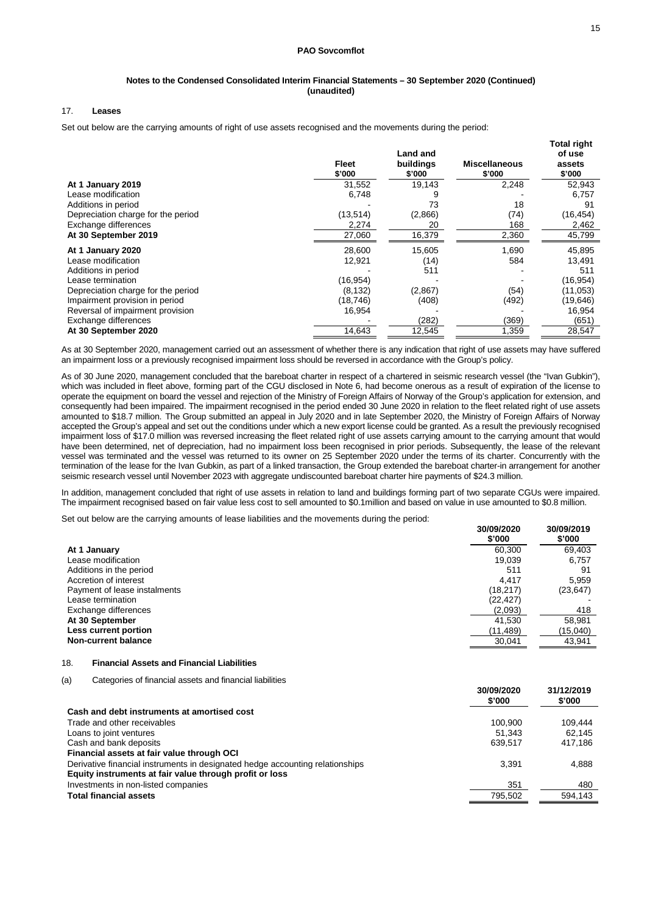#### **Notes to the Condensed Consolidated Interim Financial Statements – 30 September 2020 (Continued) (unaudited)**

### 17. **Leases**

Set out below are the carrying amounts of right of use assets recognised and the movements during the period:

| buildings<br>\$'000<br>\$'000<br>\$'000                            | \$'000    |
|--------------------------------------------------------------------|-----------|
| 2,248<br>31,552<br>19,143<br>At 1 January 2019                     | 52,943    |
| Lease modification<br>6,748                                        | 6,757     |
| Additions in period<br>18<br>73                                    | 91        |
| Depreciation charge for the period<br>(13, 514)<br>(2,866)<br>(74) | (16, 454) |
| Exchange differences<br>2,274<br>20<br>168                         | 2,462     |
| At 30 September 2019<br>27,060<br>16,379<br>2,360                  | 45,799    |
| 28,600<br>15,605<br>1,690<br>At 1 January 2020                     | 45,895    |
| Lease modification<br>12,921<br>584<br>(14)                        | 13,491    |
| Additions in period<br>511                                         | 511       |
| (16,954)<br>Lease termination                                      | (16, 954) |
| (8, 132)<br>(2,867)<br>(54)<br>Depreciation charge for the period  | (11, 053) |
| (408)<br>(492)<br>Impairment provision in period<br>(18,746)       | (19,646)  |
| Reversal of impairment provision<br>16,954                         | 16,954    |
| Exchange differences<br>(369)<br>(282)                             | (651)     |
| At 30 September 2020<br>14,643<br>12,545<br>1,359                  | 28,547    |

As at 30 September 2020, management carried out an assessment of whether there is any indication that right of use assets may have suffered an impairment loss or a previously recognised impairment loss should be reversed in accordance with the Group's policy.

As of 30 June 2020, management concluded that the bareboat charter in respect of a chartered in seismic research vessel (the "Ivan Gubkin"), which was included in fleet above, forming part of the CGU disclosed in Note 6, had become onerous as a result of expiration of the license to operate the equipment on board the vessel and rejection of the Ministry of Foreign Affairs of Norway of the Group's application for extension, and consequently had been impaired. The impairment recognised in the period ended 30 June 2020 in relation to the fleet related right of use assets amounted to \$18.7 million. The Group submitted an appeal in July 2020 and in late September 2020, the Ministry of Foreign Affairs of Norway accepted the Group's appeal and set out the conditions under which a new export license could be granted. As a result the previously recognised impairment loss of \$17.0 million was reversed increasing the fleet related right of use assets carrying amount to the carrying amount that would have been determined, net of depreciation, had no impairment loss been recognised in prior periods. Subsequently, the lease of the relevant vessel was terminated and the vessel was returned to its owner on 25 September 2020 under the terms of its charter. Concurrently with the termination of the lease for the Ivan Gubkin, as part of a linked transaction, the Group extended the bareboat charter-in arrangement for another seismic research vessel until November 2023 with aggregate undiscounted bareboat charter hire payments of \$24.3 million.

In addition, management concluded that right of use assets in relation to land and buildings forming part of two separate CGUs were impaired. The impairment recognised based on fair value less cost to sell amounted to \$0.1million and based on value in use amounted to \$0.8 million.

Set out below are the carrying amounts of lease liabilities and the movements during the period:

|                              | 30/09/2020<br>\$'000 | 30/09/2019<br>\$'000 |
|------------------------------|----------------------|----------------------|
| At 1 January                 | 60,300               | 69,403               |
| Lease modification           | 19,039               | 6,757                |
| Additions in the period      | 511                  | 91                   |
| Accretion of interest        | 4.417                | 5,959                |
| Payment of lease instalments | (18,217)             | (23, 647)            |
| Lease termination            | (22,427)             |                      |
| Exchange differences         | (2,093)              | 418                  |
| At 30 September              | 41,530               | 58,981               |
| Less current portion         | (11,489)             | (15,040)             |
| <b>Non-current balance</b>   | 30,041               | 43,941               |

### 18. **Financial Assets and Financial Liabilities**

(a) Categories of financial assets and financial liabilities

|                                                                               | 30/09/2020<br>\$'000 | 31/12/2019<br>\$'000 |
|-------------------------------------------------------------------------------|----------------------|----------------------|
| Cash and debt instruments at amortised cost                                   |                      |                      |
| Trade and other receivables                                                   | 100.900              | 109.444              |
| Loans to joint ventures                                                       | 51.343               | 62.145               |
| Cash and bank deposits                                                        | 639,517              | 417.186              |
| Financial assets at fair value through OCI                                    |                      |                      |
| Derivative financial instruments in designated hedge accounting relationships | 3.391                | 4,888                |
| Equity instruments at fair value through profit or loss                       |                      |                      |
| Investments in non-listed companies                                           | 351                  | 480                  |
| <b>Total financial assets</b>                                                 | 795.502              | 594.143              |
|                                                                               |                      |                      |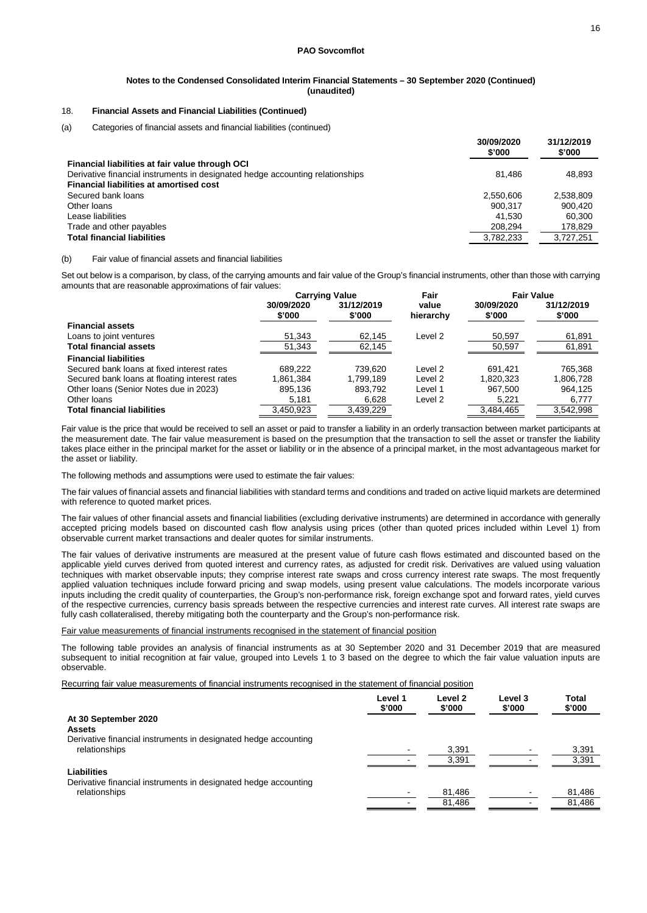## 18. **Financial Assets and Financial Liabilities (Continued)**

(a) Categories of financial assets and financial liabilities (continued)

|                                                                               | 30/09/2020<br>\$'000 | 31/12/2019<br>\$'000 |
|-------------------------------------------------------------------------------|----------------------|----------------------|
| Financial liabilities at fair value through OCI                               |                      |                      |
| Derivative financial instruments in designated hedge accounting relationships | 81.486               | 48.893               |
| <b>Financial liabilities at amortised cost</b>                                |                      |                      |
| Secured bank loans                                                            | 2.550.606            | 2,538,809            |
| Other loans                                                                   | 900.317              | 900.420              |
| Lease liabilities                                                             | 41.530               | 60.300               |
| Trade and other payables                                                      | 208,294              | 178,829              |
| <b>Total financial liabilities</b>                                            | 3.782.233            | 3.727.251            |
|                                                                               |                      |                      |

#### (b) Fair value of financial assets and financial liabilities

Set out below is a comparison, by class, of the carrying amounts and fair value of the Group's financial instruments, other than those with carrying amounts that are reasonable approximations of fair values:

|                                               | <b>Carrying Value</b> |                      | Fair               | <b>Fair Value</b>    |                      |
|-----------------------------------------------|-----------------------|----------------------|--------------------|----------------------|----------------------|
|                                               | 30/09/2020<br>\$'000  | 31/12/2019<br>\$'000 | value<br>hierarchy | 30/09/2020<br>\$'000 | 31/12/2019<br>\$'000 |
| <b>Financial assets</b>                       |                       |                      |                    |                      |                      |
| Loans to joint ventures                       | 51,343                | 62,145               | Level 2            | 50,597               | 61,891               |
| <b>Total financial assets</b>                 | 51,343                | 62,145               |                    | 50,597               | 61,891               |
| <b>Financial liabilities</b>                  |                       |                      |                    |                      |                      |
| Secured bank loans at fixed interest rates    | 689.222               | 739.620              | Level 2            | 691.421              | 765.368              |
| Secured bank loans at floating interest rates | 1.861.384             | 1.799.189            | Level 2            | 1.820.323            | 1,806,728            |
| Other Ioans (Senior Notes due in 2023)        | 895,136               | 893.792              | Level 1            | 967.500              | 964.125              |
| Other loans                                   | 5,181                 | 6,628                | Level 2            | 5,221                | 6,777                |
| <b>Total financial liabilities</b>            | 3.450.923             | 3.439.229            |                    | 3.484.465            | 3.542.998            |

Fair value is the price that would be received to sell an asset or paid to transfer a liability in an orderly transaction between market participants at the measurement date. The fair value measurement is based on the presumption that the transaction to sell the asset or transfer the liability takes place either in the principal market for the asset or liability or in the absence of a principal market, in the most advantageous market for the asset or liability.

The following methods and assumptions were used to estimate the fair values:

The fair values of financial assets and financial liabilities with standard terms and conditions and traded on active liquid markets are determined with reference to quoted market prices.

The fair values of other financial assets and financial liabilities (excluding derivative instruments) are determined in accordance with generally accepted pricing models based on discounted cash flow analysis using prices (other than quoted prices included within Level 1) from observable current market transactions and dealer quotes for similar instruments.

The fair values of derivative instruments are measured at the present value of future cash flows estimated and discounted based on the applicable yield curves derived from quoted interest and currency rates, as adjusted for credit risk. Derivatives are valued using valuation techniques with market observable inputs; they comprise interest rate swaps and cross currency interest rate swaps. The most frequently applied valuation techniques include forward pricing and swap models, using present value calculations. The models incorporate various inputs including the credit quality of counterparties, the Group's non-performance risk, foreign exchange spot and forward rates, yield curves of the respective currencies, currency basis spreads between the respective currencies and interest rate curves. All interest rate swaps are fully cash collateralised, thereby mitigating both the counterparty and the Group's non-performance risk.

Fair value measurements of financial instruments recognised in the statement of financial position

The following table provides an analysis of financial instruments as at 30 September 2020 and 31 December 2019 that are measured subsequent to initial recognition at fair value, grouped into Levels 1 to 3 based on the degree to which the fair value valuation inputs are observable.

Recurring fair value measurements of financial instruments recognised in the statement of financial position

| Level 1<br>\$'000 | Level 2<br>\$'000 | Level 3<br>\$'000 | Total<br>\$'000 |
|-------------------|-------------------|-------------------|-----------------|
|                   |                   |                   |                 |
|                   |                   |                   |                 |
|                   |                   |                   |                 |
|                   | 3,391             |                   | 3.391           |
|                   | 3.391             |                   | 3.391           |
|                   |                   |                   |                 |
|                   |                   |                   |                 |
|                   | 81,486            |                   | 81,486          |
|                   | 81,486            |                   | 81,486          |
|                   |                   |                   |                 |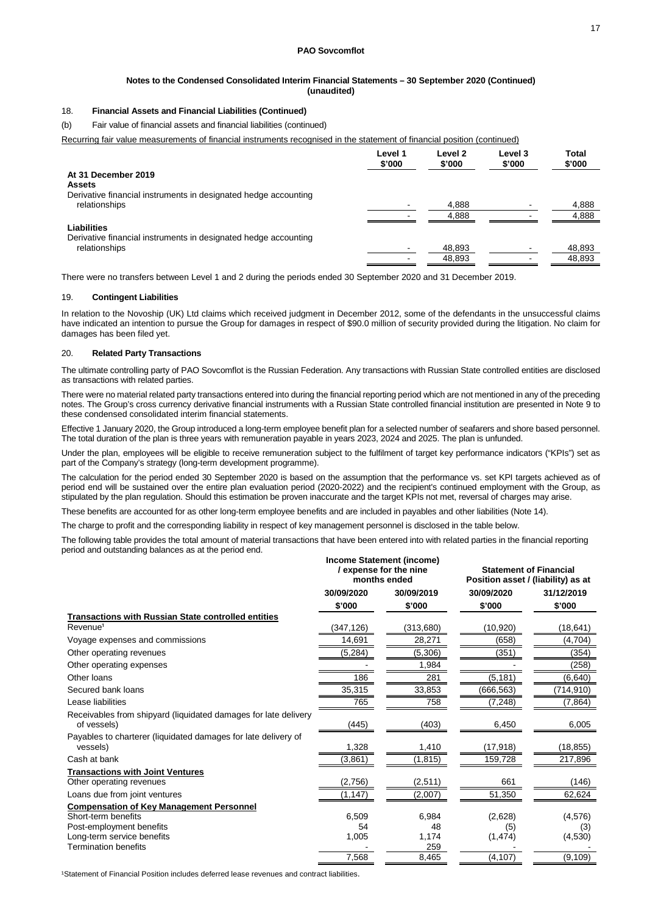#### **Notes to the Condensed Consolidated Interim Financial Statements – 30 September 2020 (Continued) (unaudited)**

### 18. **Financial Assets and Financial Liabilities (Continued)**

(b) Fair value of financial assets and financial liabilities (continued)

Recurring fair value measurements of financial instruments recognised in the statement of financial position (continued)

|                                                                 | Level 1<br>\$'000 | Level 2<br>\$'000 | Level 3<br>\$'000 | <b>Total</b><br>\$'000 |
|-----------------------------------------------------------------|-------------------|-------------------|-------------------|------------------------|
| At 31 December 2019<br><b>Assets</b>                            |                   |                   |                   |                        |
| Derivative financial instruments in designated hedge accounting |                   |                   |                   |                        |
| relationships                                                   |                   | 4,888             |                   | 4,888                  |
|                                                                 |                   | 4,888             |                   | 4,888                  |
| Liabilities                                                     |                   |                   |                   |                        |
| Derivative financial instruments in designated hedge accounting |                   |                   |                   |                        |
| relationships                                                   |                   | 48,893            |                   | 48,893                 |
|                                                                 |                   | 48.893            |                   | 48.893                 |

There were no transfers between Level 1 and 2 during the periods ended 30 September 2020 and 31 December 2019.

#### 19. **Contingent Liabilities**

In relation to the Novoship (UK) Ltd claims which received judgment in December 2012, some of the defendants in the unsuccessful claims have indicated an intention to pursue the Group for damages in respect of \$90.0 million of security provided during the litigation. No claim for damages has been filed yet.

#### 20. **Related Party Transactions**

The ultimate controlling party of PAO Sovcomflot is the Russian Federation. Any transactions with Russian State controlled entities are disclosed as transactions with related parties.

There were no material related party transactions entered into during the financial reporting period which are not mentioned in any of the preceding notes. The Group's cross currency derivative financial instruments with a Russian State controlled financial institution are presented in Note 9 to these condensed consolidated interim financial statements.

Effective 1 January 2020, the Group introduced a long-term employee benefit plan for a selected number of seafarers and shore based personnel. The total duration of the plan is three years with remuneration payable in years 2023, 2024 and 2025. The plan is unfunded.

Under the plan, employees will be eligible to receive remuneration subject to the fulfilment of target key performance indicators ("KPIs") set as part of the Company's strategy (long-term development programme).

The calculation for the period ended 30 September 2020 is based on the assumption that the performance vs. set KPI targets achieved as of period end will be sustained over the entire plan evaluation period (2020-2022) and the recipient's continued employment with the Group, as stipulated by the plan regulation. Should this estimation be proven inaccurate and the target KPIs not met, reversal of charges may arise.

These benefits are accounted for as other long-term employee benefits and are included in payables and other liabilities (Note 14).

The charge to profit and the corresponding liability in respect of key management personnel is disclosed in the table below.

The following table provides the total amount of material transactions that have been entered into with related parties in the financial reporting period and outstanding balances as at the period end.

|                                                                                | Income Statement (income)<br>/ expense for the nine<br>months ended |           | <b>Statement of Financial</b><br>Position asset / (liability) as at |            |  |
|--------------------------------------------------------------------------------|---------------------------------------------------------------------|-----------|---------------------------------------------------------------------|------------|--|
|                                                                                | 30/09/2020<br>30/09/2019                                            |           | 30/09/2020                                                          | 31/12/2019 |  |
|                                                                                | \$'000                                                              | \$'000    | \$'000                                                              | \$'000     |  |
| <b>Transactions with Russian State controlled entities</b>                     |                                                                     |           |                                                                     |            |  |
| Revenue <sup>1</sup>                                                           | (347,126)                                                           | (313,680) | (10, 920)                                                           | (18,641)   |  |
| Voyage expenses and commissions                                                | 14,691                                                              | 28,271    | (658)                                                               | (4,704)    |  |
| Other operating revenues                                                       | (5,284)                                                             | (5,306)   | (351)                                                               | (354)      |  |
| Other operating expenses                                                       |                                                                     | 1,984     |                                                                     | (258)      |  |
| Other Ioans                                                                    | 186                                                                 | 281       | (5, 181)                                                            | (6,640)    |  |
| Secured bank loans                                                             | 35,315                                                              | 33,853    | (666, 563)                                                          | (714,910)  |  |
| Lease liabilities                                                              | 765                                                                 | 758       | (7,248)                                                             | (7,864)    |  |
| Receivables from shipyard (liquidated damages for late delivery<br>of vessels) | (445)                                                               | (403)     | 6,450                                                               | 6,005      |  |
| Payables to charterer (liquidated damages for late delivery of<br>vessels)     | 1,328                                                               | 1,410     | (17,918)                                                            | (18,855)   |  |
| Cash at bank                                                                   | (3,861)                                                             | (1,815)   | 159,728                                                             | 217,896    |  |
| <b>Transactions with Joint Ventures</b>                                        |                                                                     |           |                                                                     |            |  |
| Other operating revenues                                                       | (2,756)                                                             | (2,511)   | 661                                                                 | (146)      |  |
| Loans due from joint ventures                                                  | (1, 147)                                                            | (2,007)   | 51,350                                                              | 62,624     |  |
| <b>Compensation of Key Management Personnel</b>                                |                                                                     |           |                                                                     |            |  |
| Short-term benefits                                                            | 6,509                                                               | 6.984     | (2,628)                                                             | (4,576)    |  |
| Post-employment benefits                                                       | 54                                                                  | 48        | (5)                                                                 | (3)        |  |
| Long-term service benefits                                                     | 1,005                                                               | 1,174     | (1, 474)                                                            | (4,530)    |  |
| <b>Termination benefits</b>                                                    |                                                                     | 259       |                                                                     |            |  |
|                                                                                | 7,568                                                               | 8,465     | (4, 107)                                                            | (9, 109)   |  |

<sup>1</sup>Statement of Financial Position includes deferred lease revenues and contract liabilities.